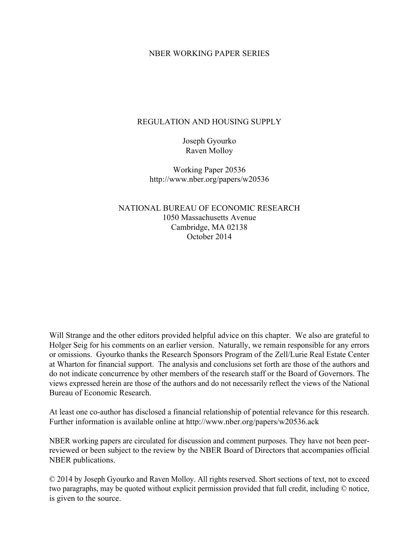# NBER WORKING PAPER SERIES

# REGULATION AND HOUSING SUPPLY

Joseph Gyourko Raven Molloy

Working Paper 20536 http://www.nber.org/papers/w20536

NATIONAL BUREAU OF ECONOMIC RESEARCH 1050 Massachusetts Avenue Cambridge, MA 02138 October 2014

Will Strange and the other editors provided helpful advice on this chapter. We also are grateful to Holger Seig for his comments on an earlier version. Naturally, we remain responsible for any errors or omissions. Gyourko thanks the Research Sponsors Program of the Zell/Lurie Real Estate Center at Wharton for financial support. The analysis and conclusions set forth are those of the authors and do not indicate concurrence by other members of the research staff or the Board of Governors. The views expressed herein are those of the authors and do not necessarily reflect the views of the National Bureau of Economic Research.

At least one co-author has disclosed a financial relationship of potential relevance for this research. Further information is available online at http://www.nber.org/papers/w20536.ack

NBER working papers are circulated for discussion and comment purposes. They have not been peerreviewed or been subject to the review by the NBER Board of Directors that accompanies official NBER publications.

© 2014 by Joseph Gyourko and Raven Molloy. All rights reserved. Short sections of text, not to exceed two paragraphs, may be quoted without explicit permission provided that full credit, including © notice, is given to the source.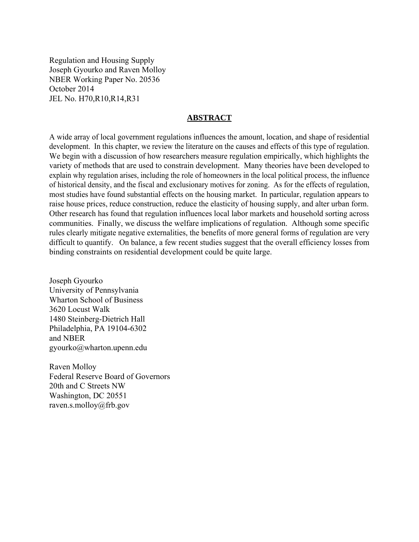Regulation and Housing Supply Joseph Gyourko and Raven Molloy NBER Working Paper No. 20536 October 2014 JEL No. H70,R10,R14,R31

# **ABSTRACT**

A wide array of local government regulations influences the amount, location, and shape of residential development. In this chapter, we review the literature on the causes and effects of this type of regulation. We begin with a discussion of how researchers measure regulation empirically, which highlights the variety of methods that are used to constrain development. Many theories have been developed to explain why regulation arises, including the role of homeowners in the local political process, the influence of historical density, and the fiscal and exclusionary motives for zoning. As for the effects of regulation, most studies have found substantial effects on the housing market. In particular, regulation appears to raise house prices, reduce construction, reduce the elasticity of housing supply, and alter urban form. Other research has found that regulation influences local labor markets and household sorting across communities. Finally, we discuss the welfare implications of regulation. Although some specific rules clearly mitigate negative externalities, the benefits of more general forms of regulation are very difficult to quantify. On balance, a few recent studies suggest that the overall efficiency losses from binding constraints on residential development could be quite large.

Joseph Gyourko University of Pennsylvania Wharton School of Business 3620 Locust Walk 1480 Steinberg-Dietrich Hall Philadelphia, PA 19104-6302 and NBER gyourko@wharton.upenn.edu

Raven Molloy Federal Reserve Board of Governors 20th and C Streets NW Washington, DC 20551 raven.s.molloy@frb.gov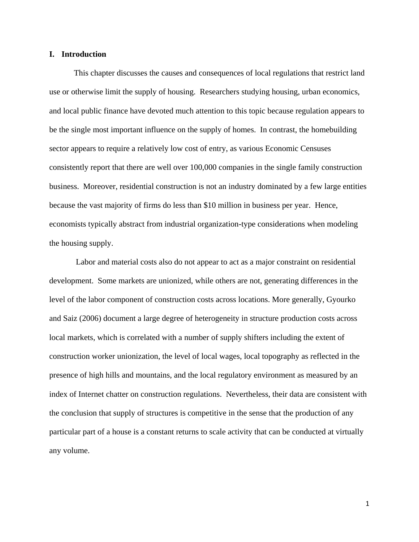### **I. Introduction**

This chapter discusses the causes and consequences of local regulations that restrict land use or otherwise limit the supply of housing. Researchers studying housing, urban economics, and local public finance have devoted much attention to this topic because regulation appears to be the single most important influence on the supply of homes. In contrast, the homebuilding sector appears to require a relatively low cost of entry, as various Economic Censuses consistently report that there are well over 100,000 companies in the single family construction business. Moreover, residential construction is not an industry dominated by a few large entities because the vast majority of firms do less than \$10 million in business per year. Hence, economists typically abstract from industrial organization-type considerations when modeling the housing supply.

 Labor and material costs also do not appear to act as a major constraint on residential development. Some markets are unionized, while others are not, generating differences in the level of the labor component of construction costs across locations. More generally, Gyourko and Saiz (2006) document a large degree of heterogeneity in structure production costs across local markets, which is correlated with a number of supply shifters including the extent of construction worker unionization, the level of local wages, local topography as reflected in the presence of high hills and mountains, and the local regulatory environment as measured by an index of Internet chatter on construction regulations. Nevertheless, their data are consistent with the conclusion that supply of structures is competitive in the sense that the production of any particular part of a house is a constant returns to scale activity that can be conducted at virtually any volume.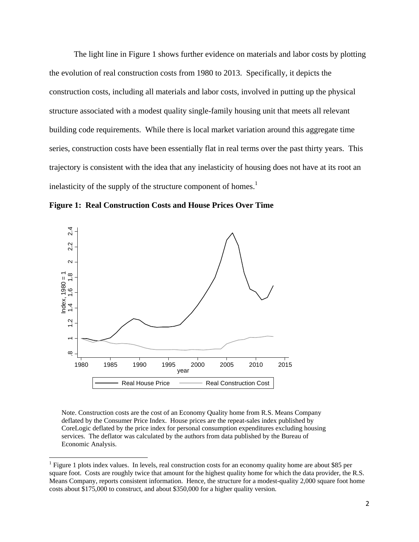The light line in Figure 1 shows further evidence on materials and labor costs by plotting the evolution of real construction costs from 1980 to 2013. Specifically, it depicts the construction costs, including all materials and labor costs, involved in putting up the physical structure associated with a modest quality single-family housing unit that meets all relevant building code requirements. While there is local market variation around this aggregate time series, construction costs have been essentially flat in real terms over the past thirty years. This trajectory is consistent with the idea that any inelasticity of housing does not have at its root an inelasticity of the supply of the structure component of homes.<sup>1</sup>

**Figure 1: Real Construction Costs and House Prices Over Time** 



Note. Construction costs are the cost of an Economy Quality home from R.S. Means Company deflated by the Consumer Price Index. House prices are the repeat-sales index published by CoreLogic deflated by the price index for personal consumption expenditures excluding housing services. The deflator was calculated by the authors from data published by the Bureau of Economic Analysis.

<sup>&</sup>lt;sup>1</sup> Figure 1 plots index values. In levels, real construction costs for an economy quality home are about \$85 per square foot. Costs are roughly twice that amount for the highest quality home for which the data provider, the R.S. Means Company, reports consistent information. Hence, the structure for a modest-quality 2,000 square foot home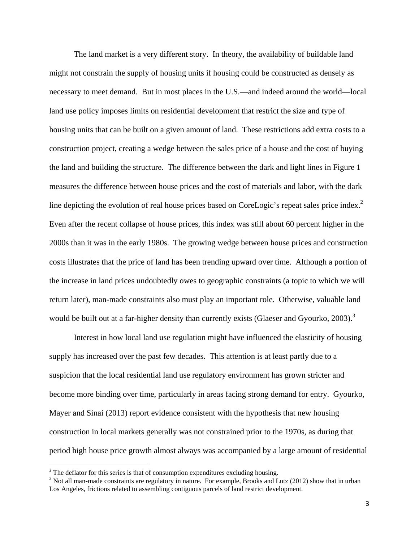The land market is a very different story. In theory, the availability of buildable land might not constrain the supply of housing units if housing could be constructed as densely as necessary to meet demand. But in most places in the U.S.—and indeed around the world—local land use policy imposes limits on residential development that restrict the size and type of housing units that can be built on a given amount of land. These restrictions add extra costs to a construction project, creating a wedge between the sales price of a house and the cost of buying the land and building the structure. The difference between the dark and light lines in Figure 1 measures the difference between house prices and the cost of materials and labor, with the dark line depicting the evolution of real house prices based on CoreLogic's repeat sales price index.<sup>2</sup> Even after the recent collapse of house prices, this index was still about 60 percent higher in the 2000s than it was in the early 1980s. The growing wedge between house prices and construction costs illustrates that the price of land has been trending upward over time. Although a portion of the increase in land prices undoubtedly owes to geographic constraints (a topic to which we will return later), man-made constraints also must play an important role. Otherwise, valuable land would be built out at a far-higher density than currently exists (Glaeser and Gyourko, 2003).<sup>3</sup>

Interest in how local land use regulation might have influenced the elasticity of housing supply has increased over the past few decades. This attention is at least partly due to a suspicion that the local residential land use regulatory environment has grown stricter and become more binding over time, particularly in areas facing strong demand for entry. Gyourko, Mayer and Sinai (2013) report evidence consistent with the hypothesis that new housing construction in local markets generally was not constrained prior to the 1970s, as during that period high house price growth almost always was accompanied by a large amount of residential

<sup>&</sup>lt;sup>2</sup> The deflator for this series is that of consumption expenditures excluding housing.

 $3$  Not all man-made constraints are regulatory in nature. For example, Brooks and Lutz (2012) show that in urban Los Angeles, frictions related to assembling contiguous parcels of land restrict development.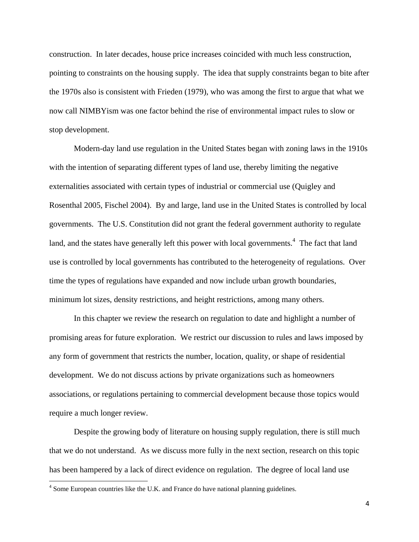construction. In later decades, house price increases coincided with much less construction, pointing to constraints on the housing supply. The idea that supply constraints began to bite after the 1970s also is consistent with Frieden (1979), who was among the first to argue that what we now call NIMBYism was one factor behind the rise of environmental impact rules to slow or stop development.

Modern-day land use regulation in the United States began with zoning laws in the 1910s with the intention of separating different types of land use, thereby limiting the negative externalities associated with certain types of industrial or commercial use (Quigley and Rosenthal 2005, Fischel 2004). By and large, land use in the United States is controlled by local governments. The U.S. Constitution did not grant the federal government authority to regulate land, and the states have generally left this power with local governments.<sup>4</sup> The fact that land use is controlled by local governments has contributed to the heterogeneity of regulations. Over time the types of regulations have expanded and now include urban growth boundaries, minimum lot sizes, density restrictions, and height restrictions, among many others.

In this chapter we review the research on regulation to date and highlight a number of promising areas for future exploration. We restrict our discussion to rules and laws imposed by any form of government that restricts the number, location, quality, or shape of residential development. We do not discuss actions by private organizations such as homeowners associations, or regulations pertaining to commercial development because those topics would require a much longer review.

Despite the growing body of literature on housing supply regulation, there is still much that we do not understand. As we discuss more fully in the next section, research on this topic has been hampered by a lack of direct evidence on regulation. The degree of local land use

 $4$  Some European countries like the U.K. and France do have national planning guidelines.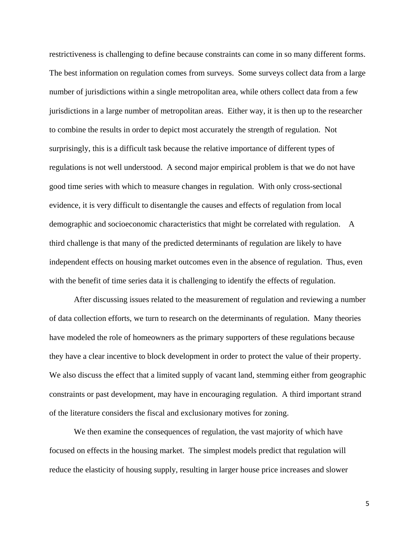restrictiveness is challenging to define because constraints can come in so many different forms. The best information on regulation comes from surveys. Some surveys collect data from a large number of jurisdictions within a single metropolitan area, while others collect data from a few jurisdictions in a large number of metropolitan areas. Either way, it is then up to the researcher to combine the results in order to depict most accurately the strength of regulation. Not surprisingly, this is a difficult task because the relative importance of different types of regulations is not well understood. A second major empirical problem is that we do not have good time series with which to measure changes in regulation. With only cross-sectional evidence, it is very difficult to disentangle the causes and effects of regulation from local demographic and socioeconomic characteristics that might be correlated with regulation. A third challenge is that many of the predicted determinants of regulation are likely to have independent effects on housing market outcomes even in the absence of regulation. Thus, even with the benefit of time series data it is challenging to identify the effects of regulation.

After discussing issues related to the measurement of regulation and reviewing a number of data collection efforts, we turn to research on the determinants of regulation. Many theories have modeled the role of homeowners as the primary supporters of these regulations because they have a clear incentive to block development in order to protect the value of their property. We also discuss the effect that a limited supply of vacant land, stemming either from geographic constraints or past development, may have in encouraging regulation. A third important strand of the literature considers the fiscal and exclusionary motives for zoning.

We then examine the consequences of regulation, the vast majority of which have focused on effects in the housing market. The simplest models predict that regulation will reduce the elasticity of housing supply, resulting in larger house price increases and slower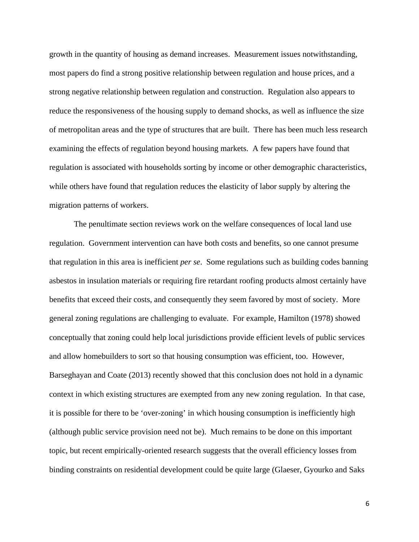growth in the quantity of housing as demand increases. Measurement issues notwithstanding, most papers do find a strong positive relationship between regulation and house prices, and a strong negative relationship between regulation and construction. Regulation also appears to reduce the responsiveness of the housing supply to demand shocks, as well as influence the size of metropolitan areas and the type of structures that are built. There has been much less research examining the effects of regulation beyond housing markets. A few papers have found that regulation is associated with households sorting by income or other demographic characteristics, while others have found that regulation reduces the elasticity of labor supply by altering the migration patterns of workers.

The penultimate section reviews work on the welfare consequences of local land use regulation. Government intervention can have both costs and benefits, so one cannot presume that regulation in this area is inefficient *per se*. Some regulations such as building codes banning asbestos in insulation materials or requiring fire retardant roofing products almost certainly have benefits that exceed their costs, and consequently they seem favored by most of society. More general zoning regulations are challenging to evaluate. For example, Hamilton (1978) showed conceptually that zoning could help local jurisdictions provide efficient levels of public services and allow homebuilders to sort so that housing consumption was efficient, too. However, Barseghayan and Coate (2013) recently showed that this conclusion does not hold in a dynamic context in which existing structures are exempted from any new zoning regulation. In that case, it is possible for there to be 'over-zoning' in which housing consumption is inefficiently high (although public service provision need not be). Much remains to be done on this important topic, but recent empirically-oriented research suggests that the overall efficiency losses from binding constraints on residential development could be quite large (Glaeser, Gyourko and Saks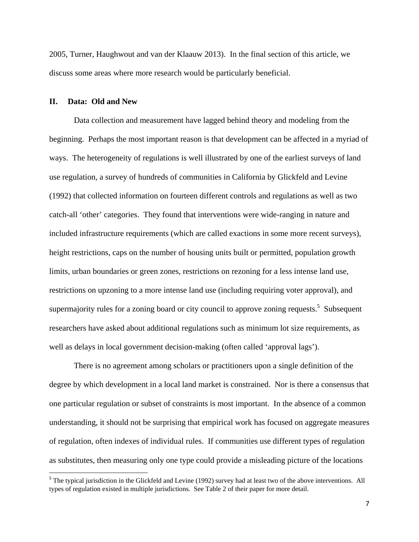2005, Turner, Haughwout and van der Klaauw 2013). In the final section of this article, we discuss some areas where more research would be particularly beneficial.

# **II. Data: Old and New**

Data collection and measurement have lagged behind theory and modeling from the beginning. Perhaps the most important reason is that development can be affected in a myriad of ways. The heterogeneity of regulations is well illustrated by one of the earliest surveys of land use regulation, a survey of hundreds of communities in California by Glickfeld and Levine (1992) that collected information on fourteen different controls and regulations as well as two catch-all 'other' categories. They found that interventions were wide-ranging in nature and included infrastructure requirements (which are called exactions in some more recent surveys), height restrictions, caps on the number of housing units built or permitted, population growth limits, urban boundaries or green zones, restrictions on rezoning for a less intense land use, restrictions on upzoning to a more intense land use (including requiring voter approval), and supermajority rules for a zoning board or city council to approve zoning requests.<sup>5</sup> Subsequent researchers have asked about additional regulations such as minimum lot size requirements, as well as delays in local government decision-making (often called 'approval lags').

There is no agreement among scholars or practitioners upon a single definition of the degree by which development in a local land market is constrained. Nor is there a consensus that one particular regulation or subset of constraints is most important. In the absence of a common understanding, it should not be surprising that empirical work has focused on aggregate measures of regulation, often indexes of individual rules. If communities use different types of regulation as substitutes, then measuring only one type could provide a misleading picture of the locations

 $<sup>5</sup>$  The typical jurisdiction in the Glickfeld and Levine (1992) survey had at least two of the above interventions. All</sup> types of regulation existed in multiple jurisdictions. See Table 2 of their paper for more detail.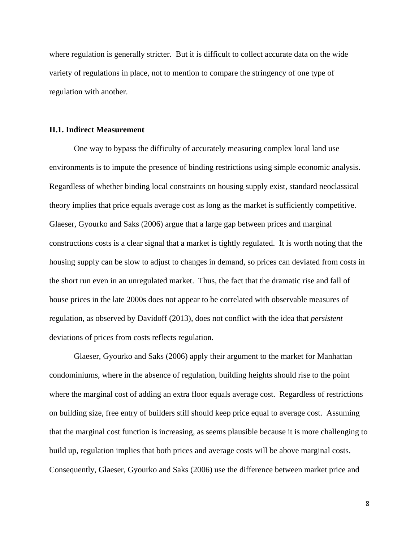where regulation is generally stricter. But it is difficult to collect accurate data on the wide variety of regulations in place, not to mention to compare the stringency of one type of regulation with another.

### **II.1. Indirect Measurement**

One way to bypass the difficulty of accurately measuring complex local land use environments is to impute the presence of binding restrictions using simple economic analysis. Regardless of whether binding local constraints on housing supply exist, standard neoclassical theory implies that price equals average cost as long as the market is sufficiently competitive. Glaeser, Gyourko and Saks (2006) argue that a large gap between prices and marginal constructions costs is a clear signal that a market is tightly regulated. It is worth noting that the housing supply can be slow to adjust to changes in demand, so prices can deviated from costs in the short run even in an unregulated market. Thus, the fact that the dramatic rise and fall of house prices in the late 2000s does not appear to be correlated with observable measures of regulation, as observed by Davidoff (2013), does not conflict with the idea that *persistent* deviations of prices from costs reflects regulation.

Glaeser, Gyourko and Saks (2006) apply their argument to the market for Manhattan condominiums, where in the absence of regulation, building heights should rise to the point where the marginal cost of adding an extra floor equals average cost. Regardless of restrictions on building size, free entry of builders still should keep price equal to average cost. Assuming that the marginal cost function is increasing, as seems plausible because it is more challenging to build up, regulation implies that both prices and average costs will be above marginal costs. Consequently, Glaeser, Gyourko and Saks (2006) use the difference between market price and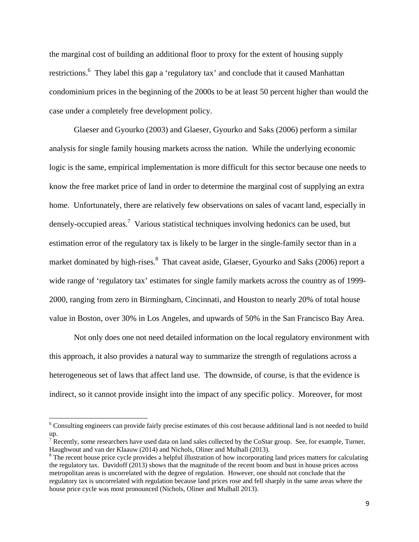the marginal cost of building an additional floor to proxy for the extent of housing supply restrictions.<sup>6</sup> They label this gap a 'regulatory tax' and conclude that it caused Manhattan condominium prices in the beginning of the 2000s to be at least 50 percent higher than would the case under a completely free development policy.

Glaeser and Gyourko (2003) and Glaeser, Gyourko and Saks (2006) perform a similar analysis for single family housing markets across the nation. While the underlying economic logic is the same, empirical implementation is more difficult for this sector because one needs to know the free market price of land in order to determine the marginal cost of supplying an extra home. Unfortunately, there are relatively few observations on sales of vacant land, especially in densely-occupied areas.<sup>7</sup> Various statistical techniques involving hedonics can be used, but estimation error of the regulatory tax is likely to be larger in the single-family sector than in a market dominated by high-rises.<sup>8</sup> That caveat aside, Glaeser, Gyourko and Saks (2006) report a wide range of 'regulatory tax' estimates for single family markets across the country as of 1999- 2000, ranging from zero in Birmingham, Cincinnati, and Houston to nearly 20% of total house value in Boston, over 30% in Los Angeles, and upwards of 50% in the San Francisco Bay Area.

Not only does one not need detailed information on the local regulatory environment with this approach, it also provides a natural way to summarize the strength of regulations across a heterogeneous set of laws that affect land use. The downside, of course, is that the evidence is indirect, so it cannot provide insight into the impact of any specific policy. Moreover, for most

<sup>&</sup>lt;sup>6</sup> Consulting engineers can provide fairly precise estimates of this cost because additional land is not needed to build up.

 $7^{7}$  Recently, some researchers have used data on land sales collected by the CoStar group. See, for example, Turner, Haughwout and van der Klaauw (2014) and Nichols, Oliner and Mulhall (2013).

<sup>&</sup>lt;sup>8</sup> The recent house price cycle provides a helpful illustration of how incorporating land prices matters for calculating the regulatory tax. Davidoff (2013) shows that the magnitude of the recent boom and bust in house prices across metropolitan areas is uncorrelated with the degree of regulation. However, one should not conclude that the regulatory tax is uncorrelated with regulation because land prices rose and fell sharply in the same areas where the house price cycle was most pronounced (Nichols, Oliner and Mulhall 2013).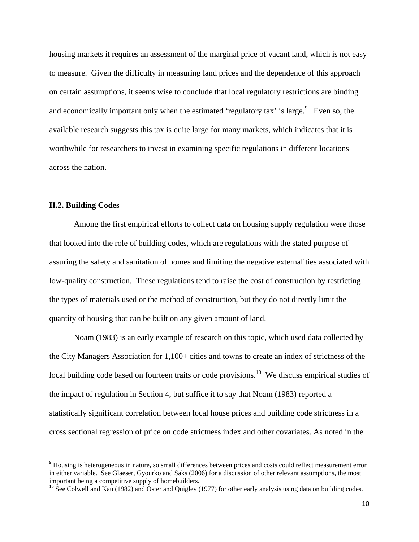housing markets it requires an assessment of the marginal price of vacant land, which is not easy to measure. Given the difficulty in measuring land prices and the dependence of this approach on certain assumptions, it seems wise to conclude that local regulatory restrictions are binding and economically important only when the estimated 'regulatory tax' is large.  $9$  Even so, the available research suggests this tax is quite large for many markets, which indicates that it is worthwhile for researchers to invest in examining specific regulations in different locations across the nation.

### **II.2. Building Codes**

 Among the first empirical efforts to collect data on housing supply regulation were those that looked into the role of building codes, which are regulations with the stated purpose of assuring the safety and sanitation of homes and limiting the negative externalities associated with low-quality construction. These regulations tend to raise the cost of construction by restricting the types of materials used or the method of construction, but they do not directly limit the quantity of housing that can be built on any given amount of land.

Noam (1983) is an early example of research on this topic, which used data collected by the City Managers Association for 1,100+ cities and towns to create an index of strictness of the local building code based on fourteen traits or code provisions.<sup>10</sup> We discuss empirical studies of the impact of regulation in Section 4, but suffice it to say that Noam (1983) reported a statistically significant correlation between local house prices and building code strictness in a cross sectional regression of price on code strictness index and other covariates. As noted in the

<sup>9</sup> Housing is heterogeneous in nature, so small differences between prices and costs could reflect measurement error in either variable. See Glaeser, Gyourko and Saks (2006) for a discussion of other relevant assumptions, the most important being a competitive supply of homebuilders.

 $10$  See Colwell and Kau (1982) and Oster and Quigley (1977) for other early analysis using data on building codes.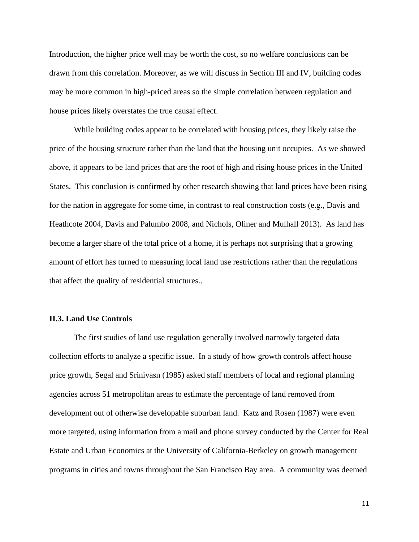Introduction, the higher price well may be worth the cost, so no welfare conclusions can be drawn from this correlation. Moreover, as we will discuss in Section III and IV, building codes may be more common in high-priced areas so the simple correlation between regulation and house prices likely overstates the true causal effect.

While building codes appear to be correlated with housing prices, they likely raise the price of the housing structure rather than the land that the housing unit occupies. As we showed above, it appears to be land prices that are the root of high and rising house prices in the United States. This conclusion is confirmed by other research showing that land prices have been rising for the nation in aggregate for some time, in contrast to real construction costs (e.g., Davis and Heathcote 2004, Davis and Palumbo 2008, and Nichols, Oliner and Mulhall 2013). As land has become a larger share of the total price of a home, it is perhaps not surprising that a growing amount of effort has turned to measuring local land use restrictions rather than the regulations that affect the quality of residential structures..

## **II.3. Land Use Controls**

The first studies of land use regulation generally involved narrowly targeted data collection efforts to analyze a specific issue. In a study of how growth controls affect house price growth, Segal and Srinivasn (1985) asked staff members of local and regional planning agencies across 51 metropolitan areas to estimate the percentage of land removed from development out of otherwise developable suburban land. Katz and Rosen (1987) were even more targeted, using information from a mail and phone survey conducted by the Center for Real Estate and Urban Economics at the University of California-Berkeley on growth management programs in cities and towns throughout the San Francisco Bay area. A community was deemed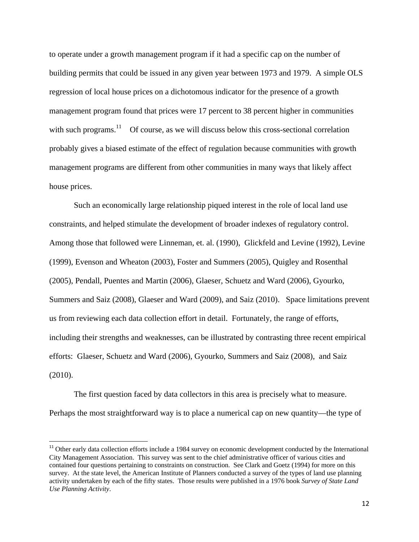to operate under a growth management program if it had a specific cap on the number of building permits that could be issued in any given year between 1973 and 1979. A simple OLS regression of local house prices on a dichotomous indicator for the presence of a growth management program found that prices were 17 percent to 38 percent higher in communities with such programs.<sup>11</sup> Of course, as we will discuss below this cross-sectional correlation probably gives a biased estimate of the effect of regulation because communities with growth management programs are different from other communities in many ways that likely affect house prices.

Such an economically large relationship piqued interest in the role of local land use constraints, and helped stimulate the development of broader indexes of regulatory control. Among those that followed were Linneman, et. al. (1990), Glickfeld and Levine (1992), Levine (1999), Evenson and Wheaton (2003), Foster and Summers (2005), Quigley and Rosenthal (2005), Pendall, Puentes and Martin (2006), Glaeser, Schuetz and Ward (2006), Gyourko, Summers and Saiz (2008), Glaeser and Ward (2009), and Saiz (2010). Space limitations prevent us from reviewing each data collection effort in detail. Fortunately, the range of efforts, including their strengths and weaknesses, can be illustrated by contrasting three recent empirical efforts: Glaeser, Schuetz and Ward (2006), Gyourko, Summers and Saiz (2008), and Saiz (2010).

The first question faced by data collectors in this area is precisely what to measure. Perhaps the most straightforward way is to place a numerical cap on new quantity—the type of

<sup>&</sup>lt;sup>11</sup> Other early data collection efforts include a 1984 survey on economic development conducted by the International City Management Association. This survey was sent to the chief administrative officer of various cities and contained four questions pertaining to constraints on construction. See Clark and Goetz (1994) for more on this survey. At the state level, the American Institute of Planners conducted a survey of the types of land use planning activity undertaken by each of the fifty states. Those results were published in a 1976 book *Survey of State Land Use Planning Activity*.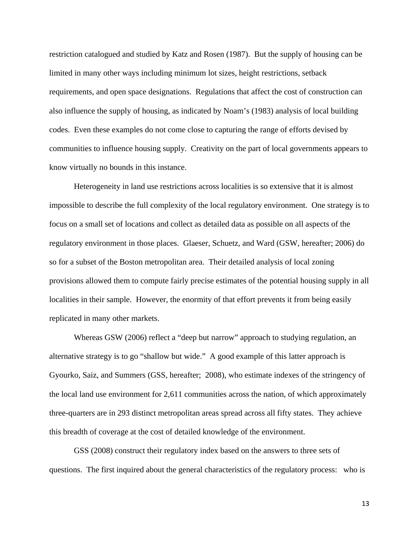restriction catalogued and studied by Katz and Rosen (1987). But the supply of housing can be limited in many other ways including minimum lot sizes, height restrictions, setback requirements, and open space designations. Regulations that affect the cost of construction can also influence the supply of housing, as indicated by Noam's (1983) analysis of local building codes. Even these examples do not come close to capturing the range of efforts devised by communities to influence housing supply. Creativity on the part of local governments appears to know virtually no bounds in this instance.

Heterogeneity in land use restrictions across localities is so extensive that it is almost impossible to describe the full complexity of the local regulatory environment. One strategy is to focus on a small set of locations and collect as detailed data as possible on all aspects of the regulatory environment in those places. Glaeser, Schuetz, and Ward (GSW, hereafter; 2006) do so for a subset of the Boston metropolitan area. Their detailed analysis of local zoning provisions allowed them to compute fairly precise estimates of the potential housing supply in all localities in their sample. However, the enormity of that effort prevents it from being easily replicated in many other markets.

Whereas GSW (2006) reflect a "deep but narrow" approach to studying regulation, an alternative strategy is to go "shallow but wide." A good example of this latter approach is Gyourko, Saiz, and Summers (GSS, hereafter; 2008), who estimate indexes of the stringency of the local land use environment for 2,611 communities across the nation, of which approximately three-quarters are in 293 distinct metropolitan areas spread across all fifty states. They achieve this breadth of coverage at the cost of detailed knowledge of the environment.

GSS (2008) construct their regulatory index based on the answers to three sets of questions. The first inquired about the general characteristics of the regulatory process: who is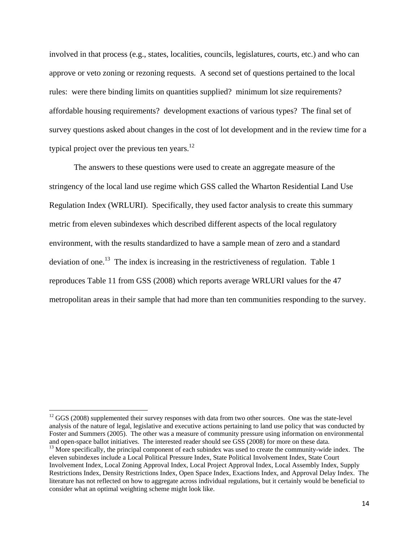involved in that process (e.g., states, localities, councils, legislatures, courts, etc.) and who can approve or veto zoning or rezoning requests. A second set of questions pertained to the local rules: were there binding limits on quantities supplied? minimum lot size requirements? affordable housing requirements? development exactions of various types? The final set of survey questions asked about changes in the cost of lot development and in the review time for a typical project over the previous ten years.<sup>12</sup>

The answers to these questions were used to create an aggregate measure of the stringency of the local land use regime which GSS called the Wharton Residential Land Use Regulation Index (WRLURI). Specifically, they used factor analysis to create this summary metric from eleven subindexes which described different aspects of the local regulatory environment, with the results standardized to have a sample mean of zero and a standard deviation of one.<sup>13</sup> The index is increasing in the restrictiveness of regulation. Table 1 reproduces Table 11 from GSS (2008) which reports average WRLURI values for the 47 metropolitan areas in their sample that had more than ten communities responding to the survey.

 $12$  GGS (2008) supplemented their survey responses with data from two other sources. One was the state-level analysis of the nature of legal, legislative and executive actions pertaining to land use policy that was conducted by Foster and Summers (2005). The other was a measure of community pressure using information on environmental and open-space ballot initiatives. The interested reader should see GSS (2008) for more on these data.

<sup>&</sup>lt;sup>13</sup> More specifically, the principal component of each subindex was used to create the community-wide index. The eleven subindexes include a Local Political Pressure Index, State Political Involvement Index, State Court Involvement Index, Local Zoning Approval Index, Local Project Approval Index, Local Assembly Index, Supply Restrictions Index, Density Restrictions Index, Open Space Index, Exactions Index, and Approval Delay Index. The literature has not reflected on how to aggregate across individual regulations, but it certainly would be beneficial to consider what an optimal weighting scheme might look like.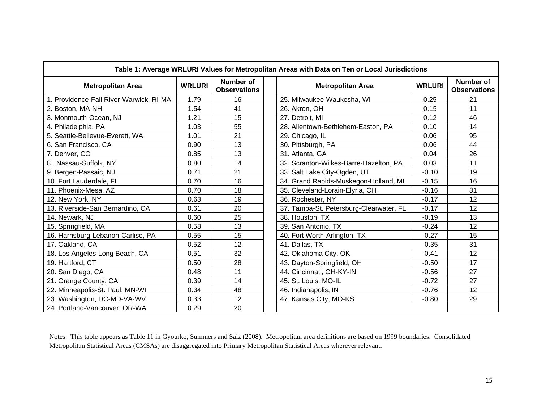| Table 1: Average WRLURI Values for Metropolitan Areas with Data on Ten or Local Jurisdictions |               |                                         |                                         |               |                                  |
|-----------------------------------------------------------------------------------------------|---------------|-----------------------------------------|-----------------------------------------|---------------|----------------------------------|
| <b>Metropolitan Area</b>                                                                      | <b>WRLURI</b> | <b>Number of</b><br><b>Observations</b> | <b>Metropolitan Area</b>                | <b>WRLURI</b> | Number of<br><b>Observations</b> |
| 1. Providence-Fall River-Warwick, RI-MA                                                       | 1.79          | 16                                      | 25. Milwaukee-Waukesha, WI              | 0.25          | 21                               |
| 2. Boston, MA-NH                                                                              | 1.54          | 41                                      | 26. Akron, OH                           | 0.15          | 11                               |
| 3. Monmouth-Ocean, NJ                                                                         | 1.21          | 15                                      | 27. Detroit, MI                         | 0.12          | 46                               |
| 4. Philadelphia, PA                                                                           | 1.03          | 55                                      | 28. Allentown-Bethlehem-Easton, PA      | 0.10          | 14                               |
| 5. Seattle-Bellevue-Everett, WA                                                               | 1.01          | 21                                      | 29. Chicago, IL                         | 0.06          | 95                               |
| 6. San Francisco, CA                                                                          | 0.90          | 13                                      | 30. Pittsburgh, PA                      | 0.06          | 44                               |
| 7. Denver, CO                                                                                 | 0.85          | 13                                      | 31. Atlanta, GA                         | 0.04          | 26                               |
| 8 Nassau-Suffolk, NY                                                                          | 0.80          | 14                                      | 32. Scranton-Wilkes-Barre-Hazelton, PA  | 0.03          | 11                               |
| 9. Bergen-Passaic, NJ                                                                         | 0.71          | 21                                      | 33. Salt Lake City-Ogden, UT            | $-0.10$       | 19                               |
| 10. Fort Lauderdale, FL                                                                       | 0.70          | 16                                      | 34. Grand Rapids-Muskegon-Holland, MI   | $-0.15$       | 16                               |
| 11. Phoenix-Mesa, AZ                                                                          | 0.70          | 18                                      | 35. Cleveland-Lorain-Elyria, OH         | $-0.16$       | 31                               |
| 12. New York, NY                                                                              | 0.63          | 19                                      | 36. Rochester, NY                       | $-0.17$       | 12                               |
| 13. Riverside-San Bernardino, CA                                                              | 0.61          | 20                                      | 37. Tampa-St. Petersburg-Clearwater, FL | $-0.17$       | 12                               |
| 14. Newark, NJ                                                                                | 0.60          | 25                                      | 38. Houston, TX                         | $-0.19$       | 13                               |
| 15. Springfield, MA                                                                           | 0.58          | 13                                      | 39. San Antonio, TX                     | $-0.24$       | 12                               |
| 16. Harrisburg-Lebanon-Carlise, PA                                                            | 0.55          | 15                                      | 40. Fort Worth-Arlington, TX            | $-0.27$       | 15                               |
| 17. Oakland, CA                                                                               | 0.52          | 12                                      | 41. Dallas, TX                          | $-0.35$       | 31                               |
| 18. Los Angeles-Long Beach, CA                                                                | 0.51          | 32                                      | 42. Oklahoma City, OK                   | $-0.41$       | 12                               |
| 19. Hartford, CT                                                                              | 0.50          | 28                                      | 43. Dayton-Springfield, OH              | $-0.50$       | 17                               |
| 20. San Diego, CA                                                                             | 0.48          | 11                                      | 44. Cincinnati, OH-KY-IN                | $-0.56$       | 27                               |
| 21. Orange County, CA                                                                         | 0.39          | 14                                      | 45. St. Louis, MO-IL                    | $-0.72$       | 27                               |
| 22. Minneapolis-St. Paul, MN-WI                                                               | 0.34          | 48                                      | 46. Indianapolis, IN                    | $-0.76$       | 12                               |
| 23. Washington, DC-MD-VA-WV                                                                   | 0.33          | 12                                      | 47. Kansas City, MO-KS                  | $-0.80$       | 29                               |
| 24. Portland-Vancouver, OR-WA                                                                 | 0.29          | 20                                      |                                         |               |                                  |

Notes: This table appears as Table 11 in Gyourko, Summers and Saiz (2008). Metropolitan area definitions are based on 1999 boundaries. Consolidated Metropolitan Statistical Areas (CMSAs) are disaggregated into Primary Metropolitan Statistical Areas wherever relevant.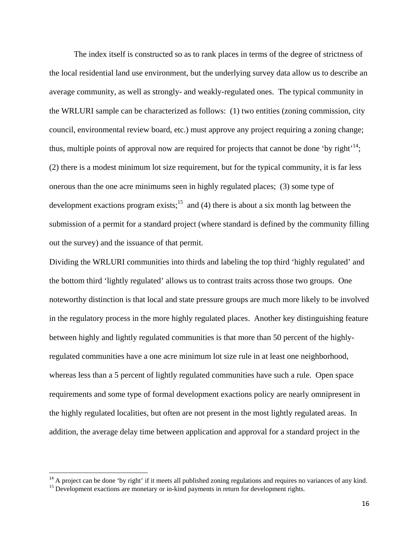The index itself is constructed so as to rank places in terms of the degree of strictness of the local residential land use environment, but the underlying survey data allow us to describe an average community, as well as strongly- and weakly-regulated ones. The typical community in the WRLURI sample can be characterized as follows: (1) two entities (zoning commission, city council, environmental review board, etc.) must approve any project requiring a zoning change; thus, multiple points of approval now are required for projects that cannot be done 'by right'<sup>14</sup>; (2) there is a modest minimum lot size requirement, but for the typical community, it is far less onerous than the one acre minimums seen in highly regulated places; (3) some type of development exactions program exists;<sup>15</sup> and (4) there is about a six month lag between the submission of a permit for a standard project (where standard is defined by the community filling out the survey) and the issuance of that permit.

Dividing the WRLURI communities into thirds and labeling the top third 'highly regulated' and the bottom third 'lightly regulated' allows us to contrast traits across those two groups. One noteworthy distinction is that local and state pressure groups are much more likely to be involved in the regulatory process in the more highly regulated places. Another key distinguishing feature between highly and lightly regulated communities is that more than 50 percent of the highlyregulated communities have a one acre minimum lot size rule in at least one neighborhood, whereas less than a 5 percent of lightly regulated communities have such a rule. Open space requirements and some type of formal development exactions policy are nearly omnipresent in the highly regulated localities, but often are not present in the most lightly regulated areas. In addition, the average delay time between application and approval for a standard project in the

<sup>&</sup>lt;sup>14</sup> A project can be done 'by right' if it meets all published zoning regulations and requires no variances of any kind. <sup>15</sup> Development exactions are monetary or in-kind payments in return for development rights.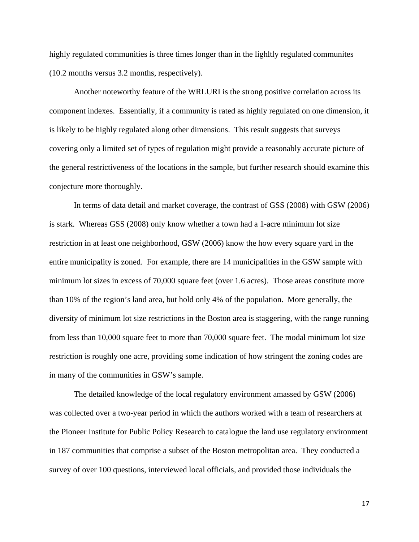highly regulated communities is three times longer than in the lighltly regulated communites (10.2 months versus 3.2 months, respectively).

Another noteworthy feature of the WRLURI is the strong positive correlation across its component indexes. Essentially, if a community is rated as highly regulated on one dimension, it is likely to be highly regulated along other dimensions. This result suggests that surveys covering only a limited set of types of regulation might provide a reasonably accurate picture of the general restrictiveness of the locations in the sample, but further research should examine this conjecture more thoroughly.

In terms of data detail and market coverage, the contrast of GSS (2008) with GSW (2006) is stark. Whereas GSS (2008) only know whether a town had a 1-acre minimum lot size restriction in at least one neighborhood, GSW (2006) know the how every square yard in the entire municipality is zoned. For example, there are 14 municipalities in the GSW sample with minimum lot sizes in excess of 70,000 square feet (over 1.6 acres). Those areas constitute more than 10% of the region's land area, but hold only 4% of the population. More generally, the diversity of minimum lot size restrictions in the Boston area is staggering, with the range running from less than 10,000 square feet to more than 70,000 square feet. The modal minimum lot size restriction is roughly one acre, providing some indication of how stringent the zoning codes are in many of the communities in GSW's sample.

The detailed knowledge of the local regulatory environment amassed by GSW (2006) was collected over a two-year period in which the authors worked with a team of researchers at the Pioneer Institute for Public Policy Research to catalogue the land use regulatory environment in 187 communities that comprise a subset of the Boston metropolitan area. They conducted a survey of over 100 questions, interviewed local officials, and provided those individuals the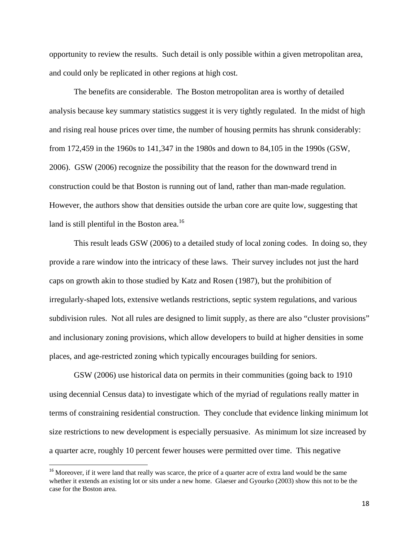opportunity to review the results. Such detail is only possible within a given metropolitan area, and could only be replicated in other regions at high cost.

The benefits are considerable. The Boston metropolitan area is worthy of detailed analysis because key summary statistics suggest it is very tightly regulated. In the midst of high and rising real house prices over time, the number of housing permits has shrunk considerably: from 172,459 in the 1960s to 141,347 in the 1980s and down to 84,105 in the 1990s (GSW, 2006). GSW (2006) recognize the possibility that the reason for the downward trend in construction could be that Boston is running out of land, rather than man-made regulation. However, the authors show that densities outside the urban core are quite low, suggesting that land is still plentiful in the Boston area.<sup>16</sup>

This result leads GSW (2006) to a detailed study of local zoning codes. In doing so, they provide a rare window into the intricacy of these laws. Their survey includes not just the hard caps on growth akin to those studied by Katz and Rosen (1987), but the prohibition of irregularly-shaped lots, extensive wetlands restrictions, septic system regulations, and various subdivision rules. Not all rules are designed to limit supply, as there are also "cluster provisions" and inclusionary zoning provisions, which allow developers to build at higher densities in some places, and age-restricted zoning which typically encourages building for seniors.

GSW (2006) use historical data on permits in their communities (going back to 1910 using decennial Census data) to investigate which of the myriad of regulations really matter in terms of constraining residential construction. They conclude that evidence linking minimum lot size restrictions to new development is especially persuasive. As minimum lot size increased by a quarter acre, roughly 10 percent fewer houses were permitted over time. This negative

<sup>&</sup>lt;sup>16</sup> Moreover, if it were land that really was scarce, the price of a quarter acre of extra land would be the same whether it extends an existing lot or sits under a new home. Glaeser and Gyourko (2003) show this not to be the case for the Boston area.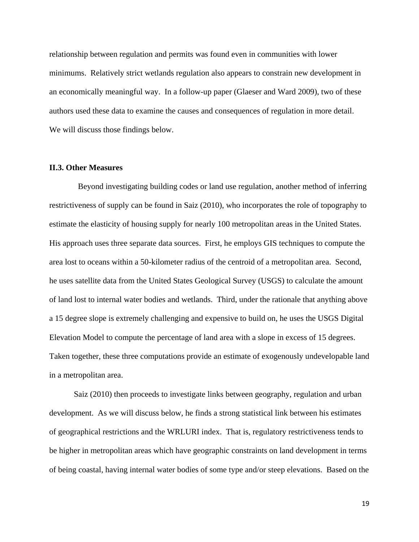relationship between regulation and permits was found even in communities with lower minimums. Relatively strict wetlands regulation also appears to constrain new development in an economically meaningful way. In a follow-up paper (Glaeser and Ward 2009), two of these authors used these data to examine the causes and consequences of regulation in more detail. We will discuss those findings below.

### **II.3. Other Measures**

 Beyond investigating building codes or land use regulation, another method of inferring restrictiveness of supply can be found in Saiz (2010), who incorporates the role of topography to estimate the elasticity of housing supply for nearly 100 metropolitan areas in the United States. His approach uses three separate data sources. First, he employs GIS techniques to compute the area lost to oceans within a 50-kilometer radius of the centroid of a metropolitan area. Second, he uses satellite data from the United States Geological Survey (USGS) to calculate the amount of land lost to internal water bodies and wetlands. Third, under the rationale that anything above a 15 degree slope is extremely challenging and expensive to build on, he uses the USGS Digital Elevation Model to compute the percentage of land area with a slope in excess of 15 degrees. Taken together, these three computations provide an estimate of exogenously undevelopable land in a metropolitan area.

Saiz (2010) then proceeds to investigate links between geography, regulation and urban development. As we will discuss below, he finds a strong statistical link between his estimates of geographical restrictions and the WRLURI index. That is, regulatory restrictiveness tends to be higher in metropolitan areas which have geographic constraints on land development in terms of being coastal, having internal water bodies of some type and/or steep elevations. Based on the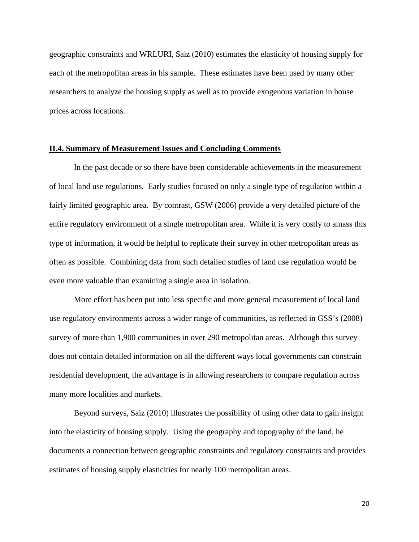geographic constraints and WRLURI, Saiz (2010) estimates the elasticity of housing supply for each of the metropolitan areas in his sample. These estimates have been used by many other researchers to analyze the housing supply as well as to provide exogenous variation in house prices across locations.

### **II.4. Summary of Measurement Issues and Concluding Comments**

 In the past decade or so there have been considerable achievements in the measurement of local land use regulations. Early studies focused on only a single type of regulation within a fairly limited geographic area. By contrast, GSW (2006) provide a very detailed picture of the entire regulatory environment of a single metropolitan area. While it is very costly to amass this type of information, it would be helpful to replicate their survey in other metropolitan areas as often as possible. Combining data from such detailed studies of land use regulation would be even more valuable than examining a single area in isolation.

 More effort has been put into less specific and more general measurement of local land use regulatory environments across a wider range of communities, as reflected in GSS's (2008) survey of more than 1,900 communities in over 290 metropolitan areas. Although this survey does not contain detailed information on all the different ways local governments can constrain residential development, the advantage is in allowing researchers to compare regulation across many more localities and markets.

Beyond surveys, Saiz (2010) illustrates the possibility of using other data to gain insight into the elasticity of housing supply. Using the geography and topography of the land, he documents a connection between geographic constraints and regulatory constraints and provides estimates of housing supply elasticities for nearly 100 metropolitan areas.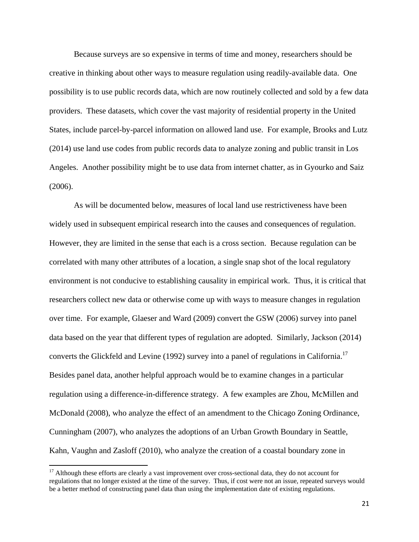Because surveys are so expensive in terms of time and money, researchers should be creative in thinking about other ways to measure regulation using readily-available data. One possibility is to use public records data, which are now routinely collected and sold by a few data providers. These datasets, which cover the vast majority of residential property in the United States, include parcel-by-parcel information on allowed land use. For example, Brooks and Lutz (2014) use land use codes from public records data to analyze zoning and public transit in Los Angeles. Another possibility might be to use data from internet chatter, as in Gyourko and Saiz (2006).

 As will be documented below, measures of local land use restrictiveness have been widely used in subsequent empirical research into the causes and consequences of regulation. However, they are limited in the sense that each is a cross section. Because regulation can be correlated with many other attributes of a location, a single snap shot of the local regulatory environment is not conducive to establishing causality in empirical work. Thus, it is critical that researchers collect new data or otherwise come up with ways to measure changes in regulation over time. For example, Glaeser and Ward (2009) convert the GSW (2006) survey into panel data based on the year that different types of regulation are adopted. Similarly, Jackson (2014) converts the Glickfeld and Levine (1992) survey into a panel of regulations in California.<sup>17</sup> Besides panel data, another helpful approach would be to examine changes in a particular regulation using a difference-in-difference strategy. A few examples are Zhou, McMillen and McDonald (2008), who analyze the effect of an amendment to the Chicago Zoning Ordinance, Cunningham (2007), who analyzes the adoptions of an Urban Growth Boundary in Seattle, Kahn, Vaughn and Zasloff (2010), who analyze the creation of a coastal boundary zone in

 $17$  Although these efforts are clearly a vast improvement over cross-sectional data, they do not account for regulations that no longer existed at the time of the survey. Thus, if cost were not an issue, repeated surveys would be a better method of constructing panel data than using the implementation date of existing regulations.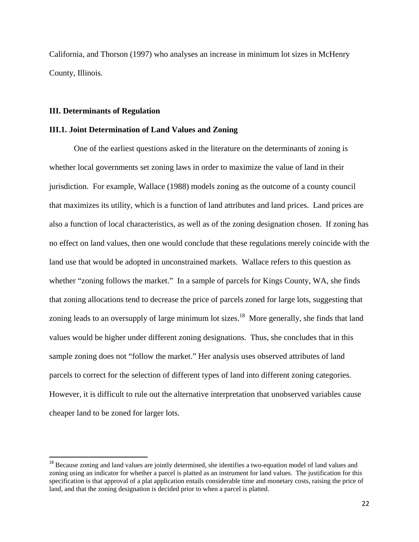California, and Thorson (1997) who analyses an increase in minimum lot sizes in McHenry County, Illinois.

#### **III. Determinants of Regulation**

## **III.1. Joint Determination of Land Values and Zoning**

One of the earliest questions asked in the literature on the determinants of zoning is whether local governments set zoning laws in order to maximize the value of land in their jurisdiction. For example, Wallace (1988) models zoning as the outcome of a county council that maximizes its utility, which is a function of land attributes and land prices. Land prices are also a function of local characteristics, as well as of the zoning designation chosen. If zoning has no effect on land values, then one would conclude that these regulations merely coincide with the land use that would be adopted in unconstrained markets. Wallace refers to this question as whether "zoning follows the market." In a sample of parcels for Kings County, WA, she finds that zoning allocations tend to decrease the price of parcels zoned for large lots, suggesting that zoning leads to an oversupply of large minimum lot sizes.<sup>18</sup> More generally, she finds that land values would be higher under different zoning designations. Thus, she concludes that in this sample zoning does not "follow the market." Her analysis uses observed attributes of land parcels to correct for the selection of different types of land into different zoning categories. However, it is difficult to rule out the alternative interpretation that unobserved variables cause cheaper land to be zoned for larger lots.

<sup>&</sup>lt;sup>18</sup> Because zoning and land values are jointly determined, she identifies a two-equation model of land values and zoning using an indicator for whether a parcel is platted as an instrument for land values. The justification for this specification is that approval of a plat application entails considerable time and monetary costs, raising the price of land, and that the zoning designation is decided prior to when a parcel is platted.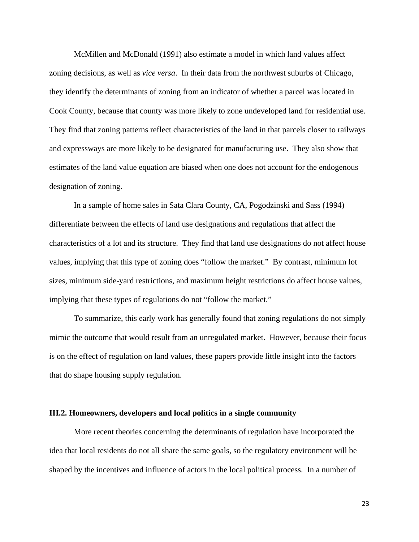McMillen and McDonald (1991) also estimate a model in which land values affect zoning decisions, as well as *vice versa*. In their data from the northwest suburbs of Chicago, they identify the determinants of zoning from an indicator of whether a parcel was located in Cook County, because that county was more likely to zone undeveloped land for residential use. They find that zoning patterns reflect characteristics of the land in that parcels closer to railways and expressways are more likely to be designated for manufacturing use. They also show that estimates of the land value equation are biased when one does not account for the endogenous designation of zoning.

In a sample of home sales in Sata Clara County, CA, Pogodzinski and Sass (1994) differentiate between the effects of land use designations and regulations that affect the characteristics of a lot and its structure. They find that land use designations do not affect house values, implying that this type of zoning does "follow the market." By contrast, minimum lot sizes, minimum side-yard restrictions, and maximum height restrictions do affect house values, implying that these types of regulations do not "follow the market."

To summarize, this early work has generally found that zoning regulations do not simply mimic the outcome that would result from an unregulated market. However, because their focus is on the effect of regulation on land values, these papers provide little insight into the factors that do shape housing supply regulation.

### **III.2. Homeowners, developers and local politics in a single community**

More recent theories concerning the determinants of regulation have incorporated the idea that local residents do not all share the same goals, so the regulatory environment will be shaped by the incentives and influence of actors in the local political process. In a number of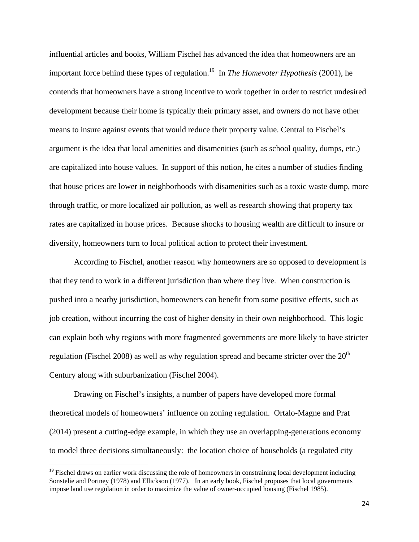influential articles and books, William Fischel has advanced the idea that homeowners are an important force behind these types of regulation.<sup>19</sup> In *The Homevoter Hypothesis* (2001), he contends that homeowners have a strong incentive to work together in order to restrict undesired development because their home is typically their primary asset, and owners do not have other means to insure against events that would reduce their property value. Central to Fischel's argument is the idea that local amenities and disamenities (such as school quality, dumps, etc.) are capitalized into house values. In support of this notion, he cites a number of studies finding that house prices are lower in neighborhoods with disamenities such as a toxic waste dump, more through traffic, or more localized air pollution, as well as research showing that property tax rates are capitalized in house prices. Because shocks to housing wealth are difficult to insure or diversify, homeowners turn to local political action to protect their investment.

According to Fischel, another reason why homeowners are so opposed to development is that they tend to work in a different jurisdiction than where they live. When construction is pushed into a nearby jurisdiction, homeowners can benefit from some positive effects, such as job creation, without incurring the cost of higher density in their own neighborhood. This logic can explain both why regions with more fragmented governments are more likely to have stricter regulation (Fischel 2008) as well as why regulation spread and became stricter over the  $20<sup>th</sup>$ Century along with suburbanization (Fischel 2004).

Drawing on Fischel's insights, a number of papers have developed more formal theoretical models of homeowners' influence on zoning regulation. Ortalo-Magne and Prat (2014) present a cutting-edge example, in which they use an overlapping-generations economy to model three decisions simultaneously: the location choice of households (a regulated city

<sup>&</sup>lt;sup>19</sup> Fischel draws on earlier work discussing the role of homeowners in constraining local development including Sonstelie and Portney (1978) and Ellickson (1977). In an early book, Fischel proposes that local governments impose land use regulation in order to maximize the value of owner-occupied housing (Fischel 1985).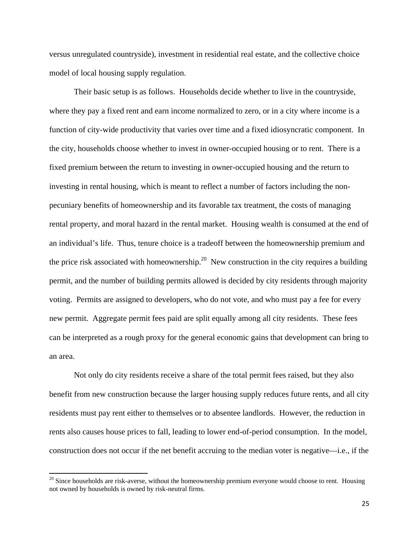versus unregulated countryside), investment in residential real estate, and the collective choice model of local housing supply regulation.

Their basic setup is as follows. Households decide whether to live in the countryside, where they pay a fixed rent and earn income normalized to zero, or in a city where income is a function of city-wide productivity that varies over time and a fixed idiosyncratic component. In the city, households choose whether to invest in owner-occupied housing or to rent. There is a fixed premium between the return to investing in owner-occupied housing and the return to investing in rental housing, which is meant to reflect a number of factors including the nonpecuniary benefits of homeownership and its favorable tax treatment, the costs of managing rental property, and moral hazard in the rental market. Housing wealth is consumed at the end of an individual's life. Thus, tenure choice is a tradeoff between the homeownership premium and the price risk associated with homeownership.<sup>20</sup> New construction in the city requires a building permit, and the number of building permits allowed is decided by city residents through majority voting. Permits are assigned to developers, who do not vote, and who must pay a fee for every new permit. Aggregate permit fees paid are split equally among all city residents. These fees can be interpreted as a rough proxy for the general economic gains that development can bring to an area.

Not only do city residents receive a share of the total permit fees raised, but they also benefit from new construction because the larger housing supply reduces future rents, and all city residents must pay rent either to themselves or to absentee landlords. However, the reduction in rents also causes house prices to fall, leading to lower end-of-period consumption. In the model, construction does not occur if the net benefit accruing to the median voter is negative—i.e., if the

<sup>&</sup>lt;sup>20</sup> Since households are risk-averse, without the homeownership premium everyone would choose to rent. Housing not owned by households is owned by risk-neutral firms.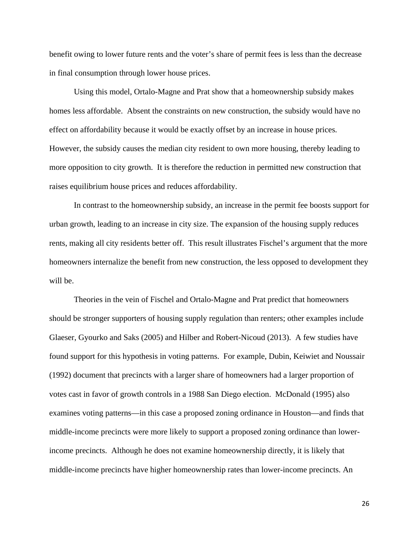benefit owing to lower future rents and the voter's share of permit fees is less than the decrease in final consumption through lower house prices.

Using this model, Ortalo-Magne and Prat show that a homeownership subsidy makes homes less affordable. Absent the constraints on new construction, the subsidy would have no effect on affordability because it would be exactly offset by an increase in house prices. However, the subsidy causes the median city resident to own more housing, thereby leading to more opposition to city growth. It is therefore the reduction in permitted new construction that raises equilibrium house prices and reduces affordability.

In contrast to the homeownership subsidy, an increase in the permit fee boosts support for urban growth, leading to an increase in city size. The expansion of the housing supply reduces rents, making all city residents better off. This result illustrates Fischel's argument that the more homeowners internalize the benefit from new construction, the less opposed to development they will be.

Theories in the vein of Fischel and Ortalo-Magne and Prat predict that homeowners should be stronger supporters of housing supply regulation than renters; other examples include Glaeser, Gyourko and Saks (2005) and Hilber and Robert-Nicoud (2013). A few studies have found support for this hypothesis in voting patterns. For example, Dubin, Keiwiet and Noussair (1992) document that precincts with a larger share of homeowners had a larger proportion of votes cast in favor of growth controls in a 1988 San Diego election. McDonald (1995) also examines voting patterns—in this case a proposed zoning ordinance in Houston—and finds that middle-income precincts were more likely to support a proposed zoning ordinance than lowerincome precincts. Although he does not examine homeownership directly, it is likely that middle-income precincts have higher homeownership rates than lower-income precincts. An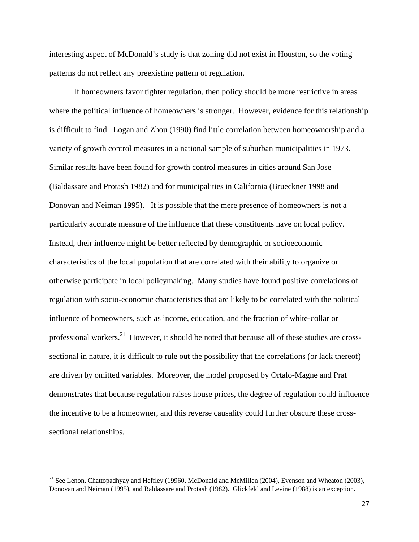interesting aspect of McDonald's study is that zoning did not exist in Houston, so the voting patterns do not reflect any preexisting pattern of regulation.

If homeowners favor tighter regulation, then policy should be more restrictive in areas where the political influence of homeowners is stronger. However, evidence for this relationship is difficult to find. Logan and Zhou (1990) find little correlation between homeownership and a variety of growth control measures in a national sample of suburban municipalities in 1973. Similar results have been found for growth control measures in cities around San Jose (Baldassare and Protash 1982) and for municipalities in California (Brueckner 1998 and Donovan and Neiman 1995). It is possible that the mere presence of homeowners is not a particularly accurate measure of the influence that these constituents have on local policy. Instead, their influence might be better reflected by demographic or socioeconomic characteristics of the local population that are correlated with their ability to organize or otherwise participate in local policymaking. Many studies have found positive correlations of regulation with socio-economic characteristics that are likely to be correlated with the political influence of homeowners, such as income, education, and the fraction of white-collar or professional workers.<sup>21</sup> However, it should be noted that because all of these studies are crosssectional in nature, it is difficult to rule out the possibility that the correlations (or lack thereof) are driven by omitted variables. Moreover, the model proposed by Ortalo-Magne and Prat demonstrates that because regulation raises house prices, the degree of regulation could influence the incentive to be a homeowner, and this reverse causality could further obscure these crosssectional relationships.

<sup>&</sup>lt;sup>21</sup> See Lenon, Chattopadhyay and Heffley (19960, McDonald and McMillen (2004), Evenson and Wheaton (2003), Donovan and Neiman (1995), and Baldassare and Protash (1982). Glickfeld and Levine (1988) is an exception.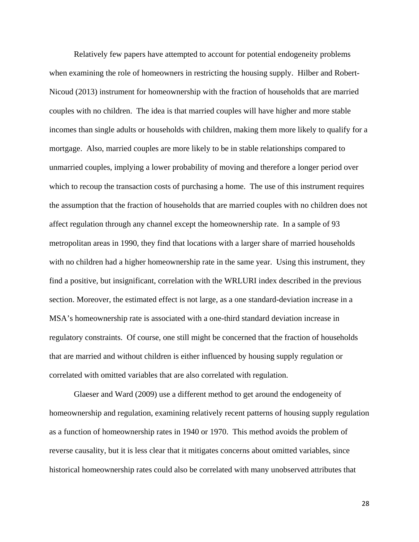Relatively few papers have attempted to account for potential endogeneity problems when examining the role of homeowners in restricting the housing supply. Hilber and Robert-Nicoud (2013) instrument for homeownership with the fraction of households that are married couples with no children. The idea is that married couples will have higher and more stable incomes than single adults or households with children, making them more likely to qualify for a mortgage. Also, married couples are more likely to be in stable relationships compared to unmarried couples, implying a lower probability of moving and therefore a longer period over which to recoup the transaction costs of purchasing a home. The use of this instrument requires the assumption that the fraction of households that are married couples with no children does not affect regulation through any channel except the homeownership rate. In a sample of 93 metropolitan areas in 1990, they find that locations with a larger share of married households with no children had a higher homeownership rate in the same year. Using this instrument, they find a positive, but insignificant, correlation with the WRLURI index described in the previous section. Moreover, the estimated effect is not large, as a one standard-deviation increase in a MSA's homeownership rate is associated with a one-third standard deviation increase in regulatory constraints. Of course, one still might be concerned that the fraction of households that are married and without children is either influenced by housing supply regulation or correlated with omitted variables that are also correlated with regulation.

Glaeser and Ward (2009) use a different method to get around the endogeneity of homeownership and regulation, examining relatively recent patterns of housing supply regulation as a function of homeownership rates in 1940 or 1970. This method avoids the problem of reverse causality, but it is less clear that it mitigates concerns about omitted variables, since historical homeownership rates could also be correlated with many unobserved attributes that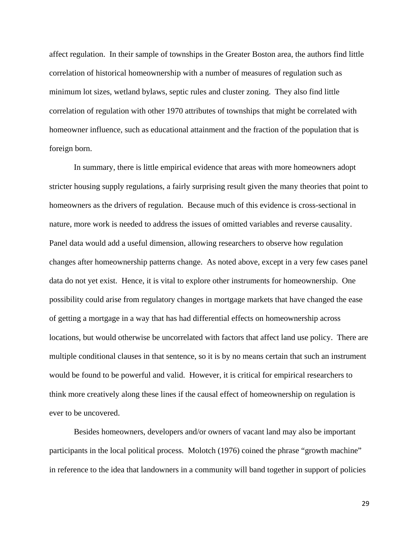affect regulation. In their sample of townships in the Greater Boston area, the authors find little correlation of historical homeownership with a number of measures of regulation such as minimum lot sizes, wetland bylaws, septic rules and cluster zoning. They also find little correlation of regulation with other 1970 attributes of townships that might be correlated with homeowner influence, such as educational attainment and the fraction of the population that is foreign born.

In summary, there is little empirical evidence that areas with more homeowners adopt stricter housing supply regulations, a fairly surprising result given the many theories that point to homeowners as the drivers of regulation. Because much of this evidence is cross-sectional in nature, more work is needed to address the issues of omitted variables and reverse causality. Panel data would add a useful dimension, allowing researchers to observe how regulation changes after homeownership patterns change. As noted above, except in a very few cases panel data do not yet exist. Hence, it is vital to explore other instruments for homeownership. One possibility could arise from regulatory changes in mortgage markets that have changed the ease of getting a mortgage in a way that has had differential effects on homeownership across locations, but would otherwise be uncorrelated with factors that affect land use policy. There are multiple conditional clauses in that sentence, so it is by no means certain that such an instrument would be found to be powerful and valid. However, it is critical for empirical researchers to think more creatively along these lines if the causal effect of homeownership on regulation is ever to be uncovered.

Besides homeowners, developers and/or owners of vacant land may also be important participants in the local political process. Molotch (1976) coined the phrase "growth machine" in reference to the idea that landowners in a community will band together in support of policies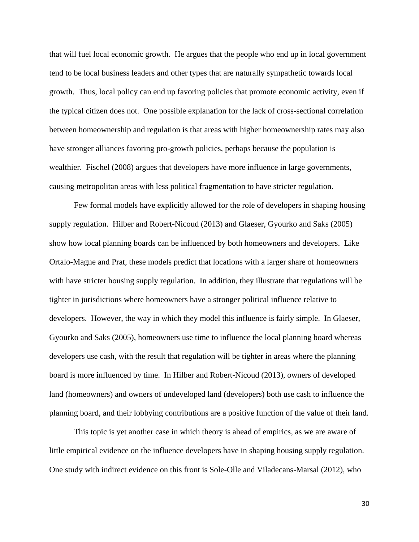that will fuel local economic growth. He argues that the people who end up in local government tend to be local business leaders and other types that are naturally sympathetic towards local growth. Thus, local policy can end up favoring policies that promote economic activity, even if the typical citizen does not. One possible explanation for the lack of cross-sectional correlation between homeownership and regulation is that areas with higher homeownership rates may also have stronger alliances favoring pro-growth policies, perhaps because the population is wealthier. Fischel (2008) argues that developers have more influence in large governments, causing metropolitan areas with less political fragmentation to have stricter regulation.

Few formal models have explicitly allowed for the role of developers in shaping housing supply regulation. Hilber and Robert-Nicoud (2013) and Glaeser, Gyourko and Saks (2005) show how local planning boards can be influenced by both homeowners and developers. Like Ortalo-Magne and Prat, these models predict that locations with a larger share of homeowners with have stricter housing supply regulation. In addition, they illustrate that regulations will be tighter in jurisdictions where homeowners have a stronger political influence relative to developers. However, the way in which they model this influence is fairly simple. In Glaeser, Gyourko and Saks (2005), homeowners use time to influence the local planning board whereas developers use cash, with the result that regulation will be tighter in areas where the planning board is more influenced by time. In Hilber and Robert-Nicoud (2013), owners of developed land (homeowners) and owners of undeveloped land (developers) both use cash to influence the planning board, and their lobbying contributions are a positive function of the value of their land.

This topic is yet another case in which theory is ahead of empirics, as we are aware of little empirical evidence on the influence developers have in shaping housing supply regulation. One study with indirect evidence on this front is Sole-Olle and Viladecans-Marsal (2012), who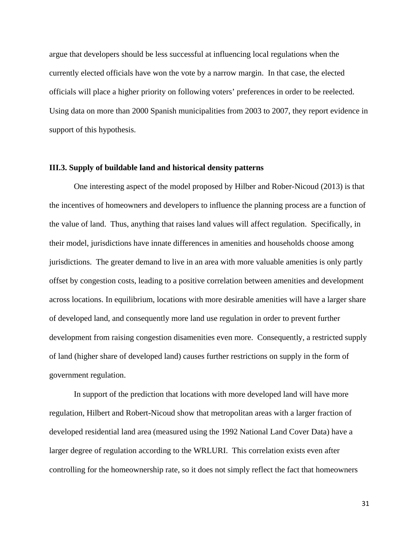argue that developers should be less successful at influencing local regulations when the currently elected officials have won the vote by a narrow margin. In that case, the elected officials will place a higher priority on following voters' preferences in order to be reelected. Using data on more than 2000 Spanish municipalities from 2003 to 2007, they report evidence in support of this hypothesis.

## **III.3. Supply of buildable land and historical density patterns**

One interesting aspect of the model proposed by Hilber and Rober-Nicoud (2013) is that the incentives of homeowners and developers to influence the planning process are a function of the value of land. Thus, anything that raises land values will affect regulation. Specifically, in their model, jurisdictions have innate differences in amenities and households choose among jurisdictions. The greater demand to live in an area with more valuable amenities is only partly offset by congestion costs, leading to a positive correlation between amenities and development across locations. In equilibrium, locations with more desirable amenities will have a larger share of developed land, and consequently more land use regulation in order to prevent further development from raising congestion disamenities even more. Consequently, a restricted supply of land (higher share of developed land) causes further restrictions on supply in the form of government regulation.

In support of the prediction that locations with more developed land will have more regulation, Hilbert and Robert-Nicoud show that metropolitan areas with a larger fraction of developed residential land area (measured using the 1992 National Land Cover Data) have a larger degree of regulation according to the WRLURI. This correlation exists even after controlling for the homeownership rate, so it does not simply reflect the fact that homeowners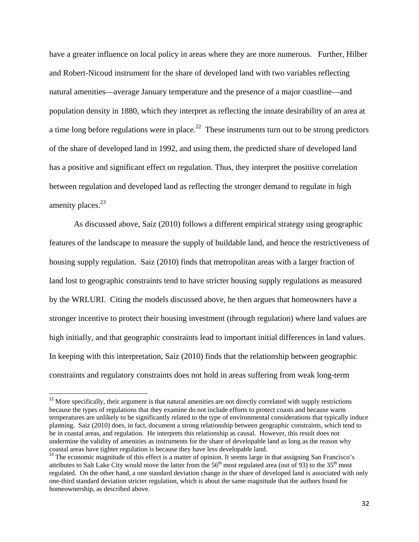have a greater influence on local policy in areas where they are more numerous. Further, Hilber and Robert-Nicoud instrument for the share of developed land with two variables reflecting natural amenities—average January temperature and the presence of a major coastline—and population density in 1880, which they interpret as reflecting the innate desirability of an area at a time long before regulations were in place.<sup>22</sup> These instruments turn out to be strong predictors of the share of developed land in 1992, and using them, the predicted share of developed land has a positive and significant effect on regulation. Thus, they interpret the positive correlation between regulation and developed land as reflecting the stronger demand to regulate in high amenity places.<sup>23</sup>

As discussed above, Saiz (2010) follows a different empirical strategy using geographic features of the landscape to measure the supply of buildable land, and hence the restrictiveness of housing supply regulation. Saiz (2010) finds that metropolitan areas with a larger fraction of land lost to geographic constraints tend to have stricter housing supply regulations as measured by the WRLURI. Citing the models discussed above, he then argues that homeowners have a stronger incentive to protect their housing investment (through regulation) where land values are high initially, and that geographic constraints lead to important initial differences in land values. In keeping with this interpretation, Saiz (2010) finds that the relationship between geographic constraints and regulatory constraints does not hold in areas suffering from weak long-term

 $22$  More specifically, their argument is that natural amenities are not directly correlated with supply restrictions because the types of regulations that they examine do not include efforts to protect coasts and because warm temperatures are unlikely to be significantly related to the type of environmental considerations that typically induce planning. Saiz (2010) does, in fact, document a strong relationship between geographic constraints, which tend to be in coastal areas, and regulation. He interprets this relationship as causal. However, this result does not undermine the validity of amenities as instruments for the share of developable land as long as the reason why coastal areas have tighter regulation is because they have less developable land.

<sup>&</sup>lt;sup>23</sup> The economic magnitude of this effect is a matter of opinion. It seems large in that assigning San Francisco's attributes to Salt Lake City would move the latter from the  $56<sup>th</sup>$  most regulated area (out of 93) to the  $35<sup>th</sup>$  most regulated. On the other hand, a one standard deviation change in the share of developed land is associated with only one-third standard deviation stricter regulation, which is about the same magnitude that the authors found for homeownership, as described above.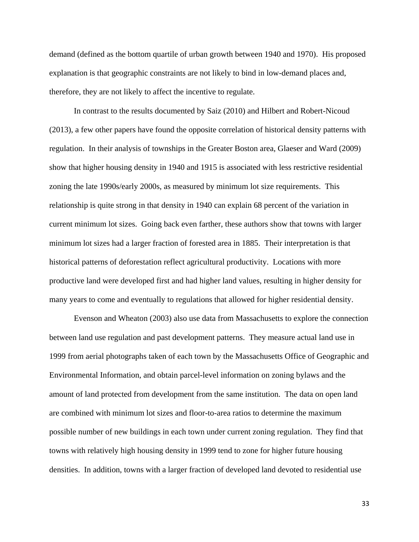demand (defined as the bottom quartile of urban growth between 1940 and 1970). His proposed explanation is that geographic constraints are not likely to bind in low-demand places and, therefore, they are not likely to affect the incentive to regulate.

In contrast to the results documented by Saiz (2010) and Hilbert and Robert-Nicoud (2013), a few other papers have found the opposite correlation of historical density patterns with regulation. In their analysis of townships in the Greater Boston area, Glaeser and Ward (2009) show that higher housing density in 1940 and 1915 is associated with less restrictive residential zoning the late 1990s/early 2000s, as measured by minimum lot size requirements. This relationship is quite strong in that density in 1940 can explain 68 percent of the variation in current minimum lot sizes. Going back even farther, these authors show that towns with larger minimum lot sizes had a larger fraction of forested area in 1885. Their interpretation is that historical patterns of deforestation reflect agricultural productivity. Locations with more productive land were developed first and had higher land values, resulting in higher density for many years to come and eventually to regulations that allowed for higher residential density.

Evenson and Wheaton (2003) also use data from Massachusetts to explore the connection between land use regulation and past development patterns. They measure actual land use in 1999 from aerial photographs taken of each town by the Massachusetts Office of Geographic and Environmental Information, and obtain parcel-level information on zoning bylaws and the amount of land protected from development from the same institution. The data on open land are combined with minimum lot sizes and floor-to-area ratios to determine the maximum possible number of new buildings in each town under current zoning regulation. They find that towns with relatively high housing density in 1999 tend to zone for higher future housing densities. In addition, towns with a larger fraction of developed land devoted to residential use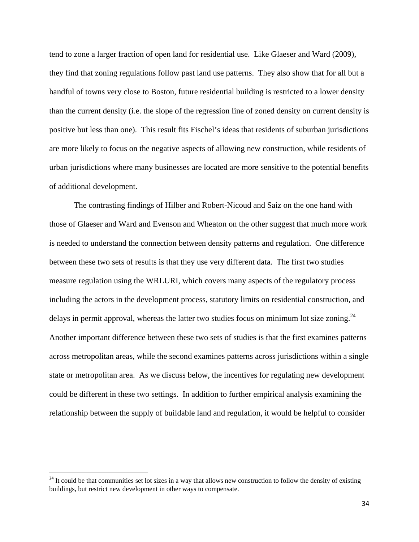tend to zone a larger fraction of open land for residential use. Like Glaeser and Ward (2009), they find that zoning regulations follow past land use patterns. They also show that for all but a handful of towns very close to Boston, future residential building is restricted to a lower density than the current density (i.e. the slope of the regression line of zoned density on current density is positive but less than one). This result fits Fischel's ideas that residents of suburban jurisdictions are more likely to focus on the negative aspects of allowing new construction, while residents of urban jurisdictions where many businesses are located are more sensitive to the potential benefits of additional development.

The contrasting findings of Hilber and Robert-Nicoud and Saiz on the one hand with those of Glaeser and Ward and Evenson and Wheaton on the other suggest that much more work is needed to understand the connection between density patterns and regulation. One difference between these two sets of results is that they use very different data. The first two studies measure regulation using the WRLURI, which covers many aspects of the regulatory process including the actors in the development process, statutory limits on residential construction, and delays in permit approval, whereas the latter two studies focus on minimum lot size zoning.<sup>24</sup> Another important difference between these two sets of studies is that the first examines patterns across metropolitan areas, while the second examines patterns across jurisdictions within a single state or metropolitan area. As we discuss below, the incentives for regulating new development could be different in these two settings. In addition to further empirical analysis examining the relationship between the supply of buildable land and regulation, it would be helpful to consider

<sup>&</sup>lt;sup>24</sup> It could be that communities set lot sizes in a way that allows new construction to follow the density of existing buildings, but restrict new development in other ways to compensate.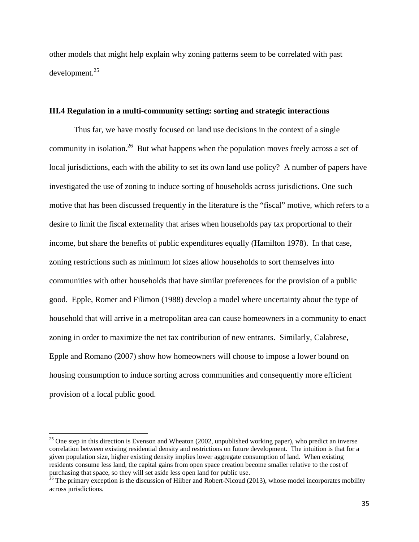other models that might help explain why zoning patterns seem to be correlated with past development.25

## **III.4 Regulation in a multi-community setting: sorting and strategic interactions**

Thus far, we have mostly focused on land use decisions in the context of a single community in isolation.<sup>26</sup> But what happens when the population moves freely across a set of local jurisdictions, each with the ability to set its own land use policy? A number of papers have investigated the use of zoning to induce sorting of households across jurisdictions. One such motive that has been discussed frequently in the literature is the "fiscal" motive, which refers to a desire to limit the fiscal externality that arises when households pay tax proportional to their income, but share the benefits of public expenditures equally (Hamilton 1978). In that case, zoning restrictions such as minimum lot sizes allow households to sort themselves into communities with other households that have similar preferences for the provision of a public good. Epple, Romer and Filimon (1988) develop a model where uncertainty about the type of household that will arrive in a metropolitan area can cause homeowners in a community to enact zoning in order to maximize the net tax contribution of new entrants. Similarly, Calabrese, Epple and Romano (2007) show how homeowners will choose to impose a lower bound on housing consumption to induce sorting across communities and consequently more efficient provision of a local public good.

 $25$  One step in this direction is Evenson and Wheaton (2002, unpublished working paper), who predict an inverse correlation between existing residential density and restrictions on future development. The intuition is that for a given population size, higher existing density implies lower aggregate consumption of land. When existing residents consume less land, the capital gains from open space creation become smaller relative to the cost of purchasing that space, so they will set aside less open land for public use.

<sup>&</sup>lt;sup>26</sup> The primary exception is the discussion of Hilber and Robert-Nicoud (2013), whose model incorporates mobility across jurisdictions.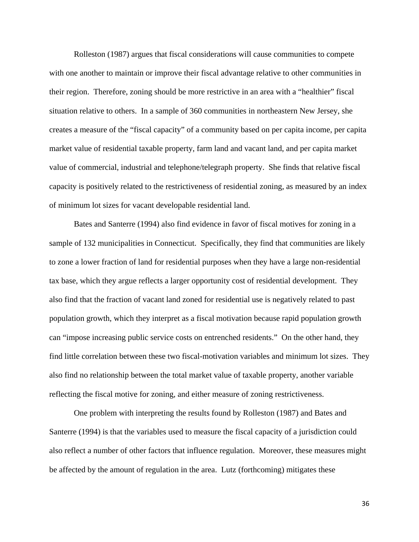Rolleston (1987) argues that fiscal considerations will cause communities to compete with one another to maintain or improve their fiscal advantage relative to other communities in their region. Therefore, zoning should be more restrictive in an area with a "healthier" fiscal situation relative to others. In a sample of 360 communities in northeastern New Jersey, she creates a measure of the "fiscal capacity" of a community based on per capita income, per capita market value of residential taxable property, farm land and vacant land, and per capita market value of commercial, industrial and telephone/telegraph property. She finds that relative fiscal capacity is positively related to the restrictiveness of residential zoning, as measured by an index of minimum lot sizes for vacant developable residential land.

Bates and Santerre (1994) also find evidence in favor of fiscal motives for zoning in a sample of 132 municipalities in Connecticut. Specifically, they find that communities are likely to zone a lower fraction of land for residential purposes when they have a large non-residential tax base, which they argue reflects a larger opportunity cost of residential development. They also find that the fraction of vacant land zoned for residential use is negatively related to past population growth, which they interpret as a fiscal motivation because rapid population growth can "impose increasing public service costs on entrenched residents." On the other hand, they find little correlation between these two fiscal-motivation variables and minimum lot sizes. They also find no relationship between the total market value of taxable property, another variable reflecting the fiscal motive for zoning, and either measure of zoning restrictiveness.

One problem with interpreting the results found by Rolleston (1987) and Bates and Santerre (1994) is that the variables used to measure the fiscal capacity of a jurisdiction could also reflect a number of other factors that influence regulation. Moreover, these measures might be affected by the amount of regulation in the area. Lutz (forthcoming) mitigates these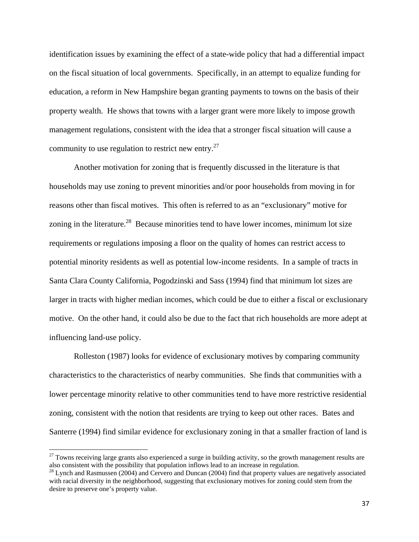identification issues by examining the effect of a state-wide policy that had a differential impact on the fiscal situation of local governments. Specifically, in an attempt to equalize funding for education, a reform in New Hampshire began granting payments to towns on the basis of their property wealth. He shows that towns with a larger grant were more likely to impose growth management regulations, consistent with the idea that a stronger fiscal situation will cause a community to use regulation to restrict new entry.27

Another motivation for zoning that is frequently discussed in the literature is that households may use zoning to prevent minorities and/or poor households from moving in for reasons other than fiscal motives. This often is referred to as an "exclusionary" motive for zoning in the literature.<sup>28</sup> Because minorities tend to have lower incomes, minimum lot size requirements or regulations imposing a floor on the quality of homes can restrict access to potential minority residents as well as potential low-income residents. In a sample of tracts in Santa Clara County California, Pogodzinski and Sass (1994) find that minimum lot sizes are larger in tracts with higher median incomes, which could be due to either a fiscal or exclusionary motive. On the other hand, it could also be due to the fact that rich households are more adept at influencing land-use policy.

Rolleston (1987) looks for evidence of exclusionary motives by comparing community characteristics to the characteristics of nearby communities. She finds that communities with a lower percentage minority relative to other communities tend to have more restrictive residential zoning, consistent with the notion that residents are trying to keep out other races. Bates and Santerre (1994) find similar evidence for exclusionary zoning in that a smaller fraction of land is

 $27$  Towns receiving large grants also experienced a surge in building activity, so the growth management results are also consistent with the possibility that population inflows lead to an increase in regulation.

<sup>&</sup>lt;sup>28</sup> Lynch and Rasmussen (2004) and Cervero and Duncan (2004) find that property values are negatively associated with racial diversity in the neighborhood, suggesting that exclusionary motives for zoning could stem from the desire to preserve one's property value.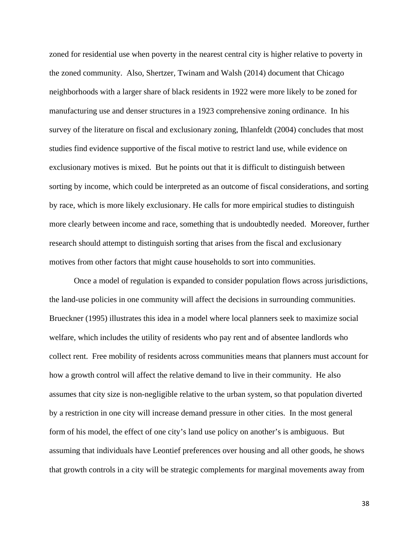zoned for residential use when poverty in the nearest central city is higher relative to poverty in the zoned community. Also, Shertzer, Twinam and Walsh (2014) document that Chicago neighborhoods with a larger share of black residents in 1922 were more likely to be zoned for manufacturing use and denser structures in a 1923 comprehensive zoning ordinance. In his survey of the literature on fiscal and exclusionary zoning, Ihlanfeldt (2004) concludes that most studies find evidence supportive of the fiscal motive to restrict land use, while evidence on exclusionary motives is mixed. But he points out that it is difficult to distinguish between sorting by income, which could be interpreted as an outcome of fiscal considerations, and sorting by race, which is more likely exclusionary. He calls for more empirical studies to distinguish more clearly between income and race, something that is undoubtedly needed. Moreover, further research should attempt to distinguish sorting that arises from the fiscal and exclusionary motives from other factors that might cause households to sort into communities.

Once a model of regulation is expanded to consider population flows across jurisdictions, the land-use policies in one community will affect the decisions in surrounding communities. Brueckner (1995) illustrates this idea in a model where local planners seek to maximize social welfare, which includes the utility of residents who pay rent and of absentee landlords who collect rent. Free mobility of residents across communities means that planners must account for how a growth control will affect the relative demand to live in their community. He also assumes that city size is non-negligible relative to the urban system, so that population diverted by a restriction in one city will increase demand pressure in other cities. In the most general form of his model, the effect of one city's land use policy on another's is ambiguous. But assuming that individuals have Leontief preferences over housing and all other goods, he shows that growth controls in a city will be strategic complements for marginal movements away from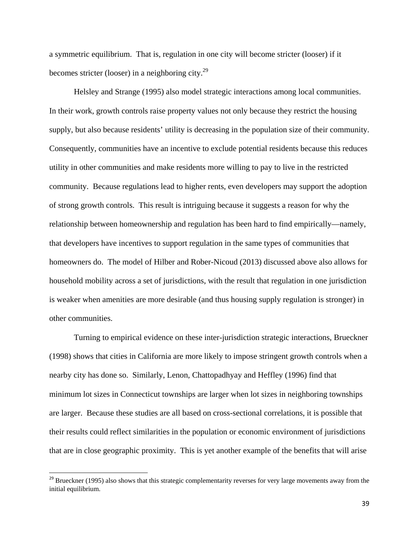a symmetric equilibrium. That is, regulation in one city will become stricter (looser) if it becomes stricter (looser) in a neighboring city.<sup>29</sup>

Helsley and Strange (1995) also model strategic interactions among local communities. In their work, growth controls raise property values not only because they restrict the housing supply, but also because residents' utility is decreasing in the population size of their community. Consequently, communities have an incentive to exclude potential residents because this reduces utility in other communities and make residents more willing to pay to live in the restricted community. Because regulations lead to higher rents, even developers may support the adoption of strong growth controls. This result is intriguing because it suggests a reason for why the relationship between homeownership and regulation has been hard to find empirically—namely, that developers have incentives to support regulation in the same types of communities that homeowners do. The model of Hilber and Rober-Nicoud (2013) discussed above also allows for household mobility across a set of jurisdictions, with the result that regulation in one jurisdiction is weaker when amenities are more desirable (and thus housing supply regulation is stronger) in other communities.

Turning to empirical evidence on these inter-jurisdiction strategic interactions, Brueckner (1998) shows that cities in California are more likely to impose stringent growth controls when a nearby city has done so. Similarly, Lenon, Chattopadhyay and Heffley (1996) find that minimum lot sizes in Connecticut townships are larger when lot sizes in neighboring townships are larger. Because these studies are all based on cross-sectional correlations, it is possible that their results could reflect similarities in the population or economic environment of jurisdictions that are in close geographic proximity. This is yet another example of the benefits that will arise

<sup>&</sup>lt;sup>29</sup> Brueckner (1995) also shows that this strategic complementarity reverses for very large movements away from the initial equilibrium.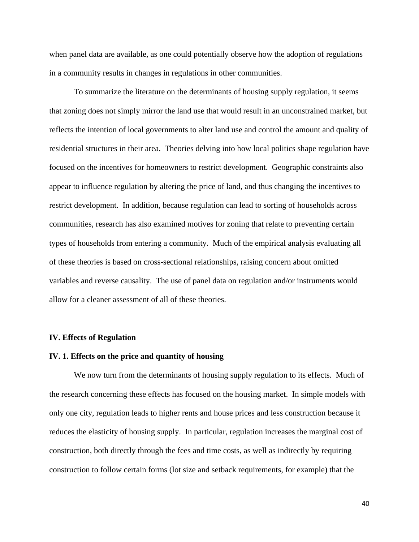when panel data are available, as one could potentially observe how the adoption of regulations in a community results in changes in regulations in other communities.

To summarize the literature on the determinants of housing supply regulation, it seems that zoning does not simply mirror the land use that would result in an unconstrained market, but reflects the intention of local governments to alter land use and control the amount and quality of residential structures in their area. Theories delving into how local politics shape regulation have focused on the incentives for homeowners to restrict development. Geographic constraints also appear to influence regulation by altering the price of land, and thus changing the incentives to restrict development. In addition, because regulation can lead to sorting of households across communities, research has also examined motives for zoning that relate to preventing certain types of households from entering a community. Much of the empirical analysis evaluating all of these theories is based on cross-sectional relationships, raising concern about omitted variables and reverse causality. The use of panel data on regulation and/or instruments would allow for a cleaner assessment of all of these theories.

#### **IV. Effects of Regulation**

# **IV. 1. Effects on the price and quantity of housing**

We now turn from the determinants of housing supply regulation to its effects. Much of the research concerning these effects has focused on the housing market. In simple models with only one city, regulation leads to higher rents and house prices and less construction because it reduces the elasticity of housing supply. In particular, regulation increases the marginal cost of construction, both directly through the fees and time costs, as well as indirectly by requiring construction to follow certain forms (lot size and setback requirements, for example) that the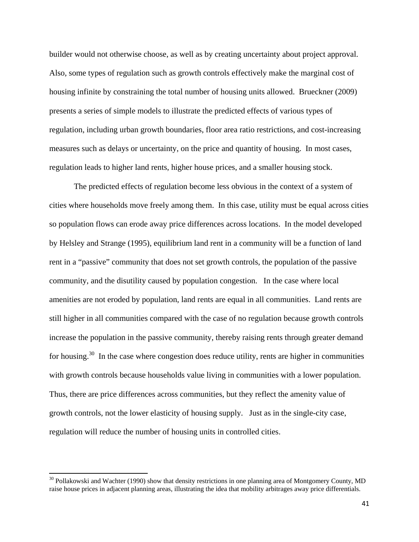builder would not otherwise choose, as well as by creating uncertainty about project approval. Also, some types of regulation such as growth controls effectively make the marginal cost of housing infinite by constraining the total number of housing units allowed. Brueckner (2009) presents a series of simple models to illustrate the predicted effects of various types of regulation, including urban growth boundaries, floor area ratio restrictions, and cost-increasing measures such as delays or uncertainty, on the price and quantity of housing. In most cases, regulation leads to higher land rents, higher house prices, and a smaller housing stock.

 The predicted effects of regulation become less obvious in the context of a system of cities where households move freely among them. In this case, utility must be equal across cities so population flows can erode away price differences across locations. In the model developed by Helsley and Strange (1995), equilibrium land rent in a community will be a function of land rent in a "passive" community that does not set growth controls, the population of the passive community, and the disutility caused by population congestion. In the case where local amenities are not eroded by population, land rents are equal in all communities. Land rents are still higher in all communities compared with the case of no regulation because growth controls increase the population in the passive community, thereby raising rents through greater demand for housing.<sup>30</sup> In the case where congestion does reduce utility, rents are higher in communities with growth controls because households value living in communities with a lower population. Thus, there are price differences across communities, but they reflect the amenity value of growth controls, not the lower elasticity of housing supply. Just as in the single-city case, regulation will reduce the number of housing units in controlled cities.

<sup>&</sup>lt;sup>30</sup> Pollakowski and Wachter (1990) show that density restrictions in one planning area of Montgomery County, MD raise house prices in adjacent planning areas, illustrating the idea that mobility arbitrages away price differentials.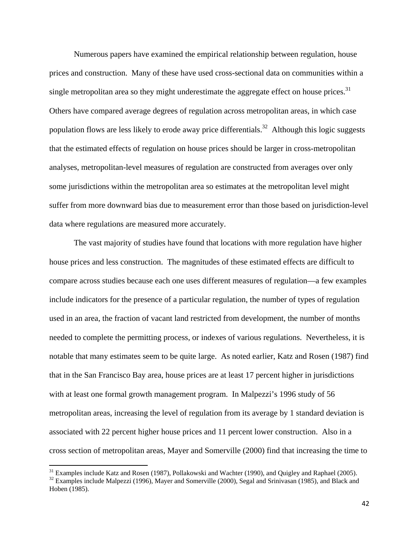Numerous papers have examined the empirical relationship between regulation, house prices and construction. Many of these have used cross-sectional data on communities within a single metropolitan area so they might underestimate the aggregate effect on house prices. $31$ Others have compared average degrees of regulation across metropolitan areas, in which case population flows are less likely to erode away price differentials.<sup>32</sup> Although this logic suggests that the estimated effects of regulation on house prices should be larger in cross-metropolitan analyses, metropolitan-level measures of regulation are constructed from averages over only some jurisdictions within the metropolitan area so estimates at the metropolitan level might suffer from more downward bias due to measurement error than those based on jurisdiction-level data where regulations are measured more accurately.

The vast majority of studies have found that locations with more regulation have higher house prices and less construction. The magnitudes of these estimated effects are difficult to compare across studies because each one uses different measures of regulation—a few examples include indicators for the presence of a particular regulation, the number of types of regulation used in an area, the fraction of vacant land restricted from development, the number of months needed to complete the permitting process, or indexes of various regulations. Nevertheless, it is notable that many estimates seem to be quite large. As noted earlier, Katz and Rosen (1987) find that in the San Francisco Bay area, house prices are at least 17 percent higher in jurisdictions with at least one formal growth management program. In Malpezzi's 1996 study of 56 metropolitan areas, increasing the level of regulation from its average by 1 standard deviation is associated with 22 percent higher house prices and 11 percent lower construction. Also in a cross section of metropolitan areas, Mayer and Somerville (2000) find that increasing the time to

 $31$  Examples include Katz and Rosen (1987), Pollakowski and Wachter (1990), and Quigley and Raphael (2005).

<sup>&</sup>lt;sup>32</sup> Examples include Malpezzi (1996), Mayer and Somerville (2000), Segal and Srinivasan (1985), and Black and Hoben (1985).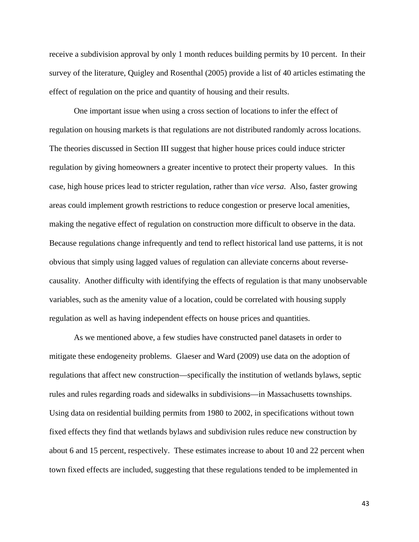receive a subdivision approval by only 1 month reduces building permits by 10 percent. In their survey of the literature, Quigley and Rosenthal (2005) provide a list of 40 articles estimating the effect of regulation on the price and quantity of housing and their results.

One important issue when using a cross section of locations to infer the effect of regulation on housing markets is that regulations are not distributed randomly across locations. The theories discussed in Section III suggest that higher house prices could induce stricter regulation by giving homeowners a greater incentive to protect their property values. In this case, high house prices lead to stricter regulation, rather than *vice versa*. Also, faster growing areas could implement growth restrictions to reduce congestion or preserve local amenities, making the negative effect of regulation on construction more difficult to observe in the data. Because regulations change infrequently and tend to reflect historical land use patterns, it is not obvious that simply using lagged values of regulation can alleviate concerns about reversecausality. Another difficulty with identifying the effects of regulation is that many unobservable variables, such as the amenity value of a location, could be correlated with housing supply regulation as well as having independent effects on house prices and quantities.

As we mentioned above, a few studies have constructed panel datasets in order to mitigate these endogeneity problems. Glaeser and Ward (2009) use data on the adoption of regulations that affect new construction—specifically the institution of wetlands bylaws, septic rules and rules regarding roads and sidewalks in subdivisions—in Massachusetts townships. Using data on residential building permits from 1980 to 2002, in specifications without town fixed effects they find that wetlands bylaws and subdivision rules reduce new construction by about 6 and 15 percent, respectively. These estimates increase to about 10 and 22 percent when town fixed effects are included, suggesting that these regulations tended to be implemented in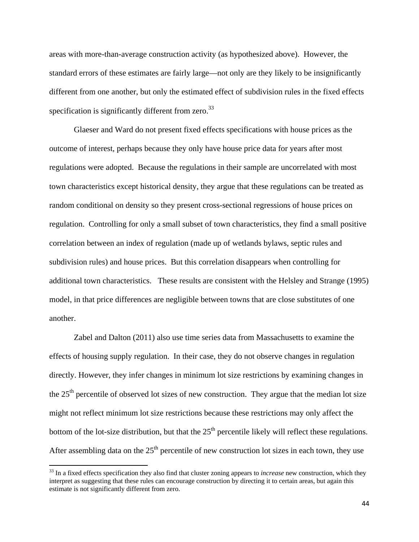areas with more-than-average construction activity (as hypothesized above). However, the standard errors of these estimates are fairly large—not only are they likely to be insignificantly different from one another, but only the estimated effect of subdivision rules in the fixed effects specification is significantly different from zero.<sup>33</sup>

Glaeser and Ward do not present fixed effects specifications with house prices as the outcome of interest, perhaps because they only have house price data for years after most regulations were adopted. Because the regulations in their sample are uncorrelated with most town characteristics except historical density, they argue that these regulations can be treated as random conditional on density so they present cross-sectional regressions of house prices on regulation. Controlling for only a small subset of town characteristics, they find a small positive correlation between an index of regulation (made up of wetlands bylaws, septic rules and subdivision rules) and house prices. But this correlation disappears when controlling for additional town characteristics. These results are consistent with the Helsley and Strange (1995) model, in that price differences are negligible between towns that are close substitutes of one another.

Zabel and Dalton (2011) also use time series data from Massachusetts to examine the effects of housing supply regulation. In their case, they do not observe changes in regulation directly. However, they infer changes in minimum lot size restrictions by examining changes in the  $25<sup>th</sup>$  percentile of observed lot sizes of new construction. They argue that the median lot size might not reflect minimum lot size restrictions because these restrictions may only affect the bottom of the lot-size distribution, but that the  $25<sup>th</sup>$  percentile likely will reflect these regulations. After assembling data on the  $25<sup>th</sup>$  percentile of new construction lot sizes in each town, they use

<sup>33</sup> In a fixed effects specification they also find that cluster zoning appears to *increase* new construction, which they interpret as suggesting that these rules can encourage construction by directing it to certain areas, but again this estimate is not significantly different from zero.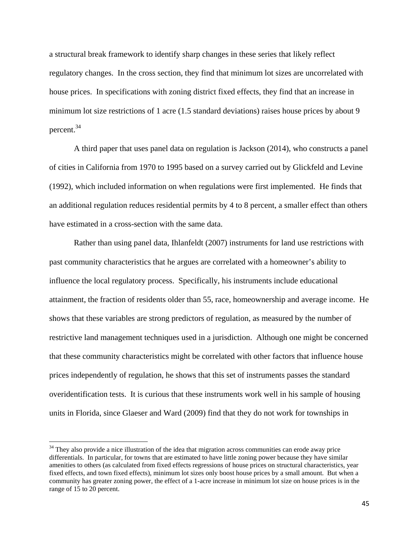a structural break framework to identify sharp changes in these series that likely reflect regulatory changes. In the cross section, they find that minimum lot sizes are uncorrelated with house prices. In specifications with zoning district fixed effects, they find that an increase in minimum lot size restrictions of 1 acre (1.5 standard deviations) raises house prices by about 9 percent.34

A third paper that uses panel data on regulation is Jackson (2014), who constructs a panel of cities in California from 1970 to 1995 based on a survey carried out by Glickfeld and Levine (1992), which included information on when regulations were first implemented. He finds that an additional regulation reduces residential permits by 4 to 8 percent, a smaller effect than others have estimated in a cross-section with the same data.

Rather than using panel data, Ihlanfeldt (2007) instruments for land use restrictions with past community characteristics that he argues are correlated with a homeowner's ability to influence the local regulatory process. Specifically, his instruments include educational attainment, the fraction of residents older than 55, race, homeownership and average income. He shows that these variables are strong predictors of regulation, as measured by the number of restrictive land management techniques used in a jurisdiction. Although one might be concerned that these community characteristics might be correlated with other factors that influence house prices independently of regulation, he shows that this set of instruments passes the standard overidentification tests. It is curious that these instruments work well in his sample of housing units in Florida, since Glaeser and Ward (2009) find that they do not work for townships in

<sup>&</sup>lt;sup>34</sup> They also provide a nice illustration of the idea that migration across communities can erode away price differentials. In particular, for towns that are estimated to have little zoning power because they have similar amenities to others (as calculated from fixed effects regressions of house prices on structural characteristics, year fixed effects, and town fixed effects), minimum lot sizes only boost house prices by a small amount. But when a community has greater zoning power, the effect of a 1-acre increase in minimum lot size on house prices is in the range of 15 to 20 percent.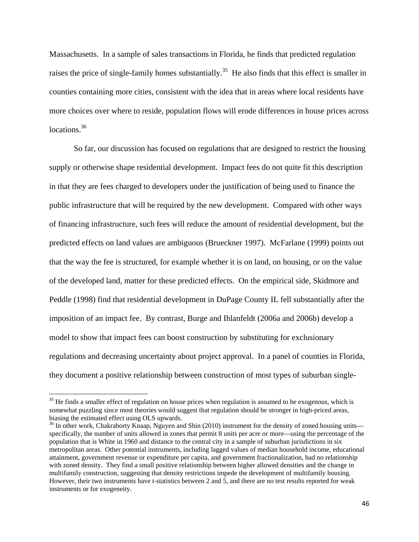Massachusetts. In a sample of sales transactions in Florida, he finds that predicted regulation raises the price of single-family homes substantially.<sup>35</sup> He also finds that this effect is smaller in counties containing more cities, consistent with the idea that in areas where local residents have more choices over where to reside, population flows will erode differences in house prices across locations.<sup>36</sup>

 So far, our discussion has focused on regulations that are designed to restrict the housing supply or otherwise shape residential development. Impact fees do not quite fit this description in that they are fees charged to developers under the justification of being used to finance the public infrastructure that will be required by the new development. Compared with other ways of financing infrastructure, such fees will reduce the amount of residential development, but the predicted effects on land values are ambiguous (Brueckner 1997). McFarlane (1999) points out that the way the fee is structured, for example whether it is on land, on housing, or on the value of the developed land, matter for these predicted effects. On the empirical side, Skidmore and Peddle (1998) find that residential development in DuPage County IL fell substantially after the imposition of an impact fee. By contrast, Burge and Ihlanfeldt (2006a and 2006b) develop a model to show that impact fees can boost construction by substituting for exclusionary regulations and decreasing uncertainty about project approval. In a panel of counties in Florida, they document a positive relationship between construction of most types of suburban single-

<sup>&</sup>lt;sup>35</sup> He finds a smaller effect of regulation on house prices when regulation is assumed to be exogenous, which is somewhat puzzling since most theories would suggest that regulation should be stronger in high-priced areas, biasing the estimated effect using OLS upwards.

 $36$  In other work, Chakraborty Knaap, Nguyen and Shin (2010) instrument for the density of zoned housing units specifically, the number of units allowed in zones that permit 8 units per acre or more—using the percentage of the population that is White in 1960 and distance to the central city in a sample of suburban jurisdictions in six metropolitan areas. Other potential instruments, including lagged values of median household income, educational attainment, government revenue or expenditure per capita, and government fractionalization, had no relationship with zoned density. They find a small positive relationship between higher allowed densities and the change in multifamily construction, suggesting that density restrictions impede the development of multifamily housing. However, their two instruments have t-statistics between 2 and 5, and there are no test results reported for weak instruments or for exogeneity.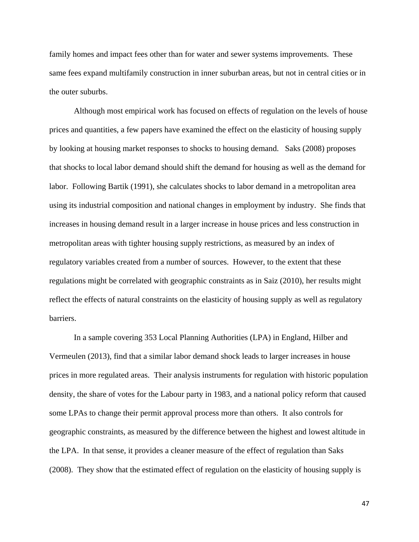family homes and impact fees other than for water and sewer systems improvements. These same fees expand multifamily construction in inner suburban areas, but not in central cities or in the outer suburbs.

Although most empirical work has focused on effects of regulation on the levels of house prices and quantities, a few papers have examined the effect on the elasticity of housing supply by looking at housing market responses to shocks to housing demand. Saks (2008) proposes that shocks to local labor demand should shift the demand for housing as well as the demand for labor. Following Bartik (1991), she calculates shocks to labor demand in a metropolitan area using its industrial composition and national changes in employment by industry. She finds that increases in housing demand result in a larger increase in house prices and less construction in metropolitan areas with tighter housing supply restrictions, as measured by an index of regulatory variables created from a number of sources. However, to the extent that these regulations might be correlated with geographic constraints as in Saiz (2010), her results might reflect the effects of natural constraints on the elasticity of housing supply as well as regulatory barriers.

In a sample covering 353 Local Planning Authorities (LPA) in England, Hilber and Vermeulen (2013), find that a similar labor demand shock leads to larger increases in house prices in more regulated areas. Their analysis instruments for regulation with historic population density, the share of votes for the Labour party in 1983, and a national policy reform that caused some LPAs to change their permit approval process more than others. It also controls for geographic constraints, as measured by the difference between the highest and lowest altitude in the LPA. In that sense, it provides a cleaner measure of the effect of regulation than Saks (2008). They show that the estimated effect of regulation on the elasticity of housing supply is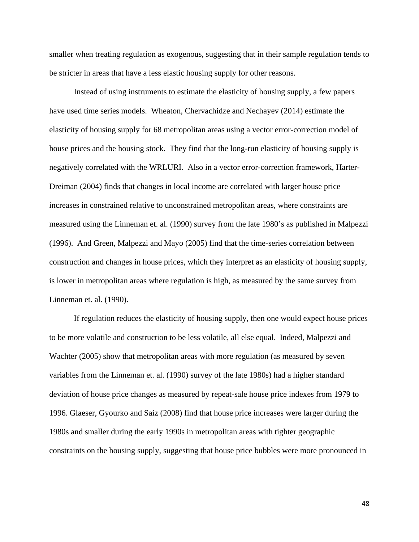smaller when treating regulation as exogenous, suggesting that in their sample regulation tends to be stricter in areas that have a less elastic housing supply for other reasons.

Instead of using instruments to estimate the elasticity of housing supply, a few papers have used time series models. Wheaton, Chervachidze and Nechayev (2014) estimate the elasticity of housing supply for 68 metropolitan areas using a vector error-correction model of house prices and the housing stock. They find that the long-run elasticity of housing supply is negatively correlated with the WRLURI. Also in a vector error-correction framework, Harter-Dreiman (2004) finds that changes in local income are correlated with larger house price increases in constrained relative to unconstrained metropolitan areas, where constraints are measured using the Linneman et. al. (1990) survey from the late 1980's as published in Malpezzi (1996). And Green, Malpezzi and Mayo (2005) find that the time-series correlation between construction and changes in house prices, which they interpret as an elasticity of housing supply, is lower in metropolitan areas where regulation is high, as measured by the same survey from Linneman et. al. (1990).

If regulation reduces the elasticity of housing supply, then one would expect house prices to be more volatile and construction to be less volatile, all else equal. Indeed, Malpezzi and Wachter (2005) show that metropolitan areas with more regulation (as measured by seven variables from the Linneman et. al. (1990) survey of the late 1980s) had a higher standard deviation of house price changes as measured by repeat-sale house price indexes from 1979 to 1996. Glaeser, Gyourko and Saiz (2008) find that house price increases were larger during the 1980s and smaller during the early 1990s in metropolitan areas with tighter geographic constraints on the housing supply, suggesting that house price bubbles were more pronounced in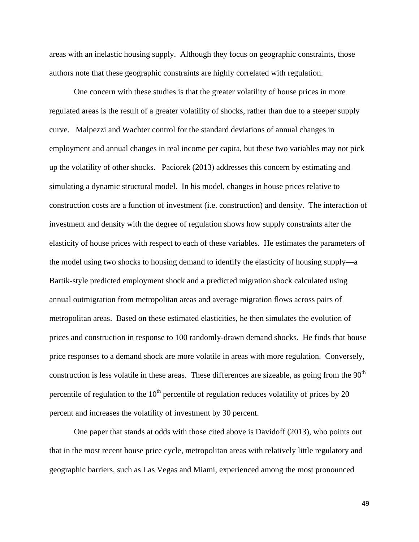areas with an inelastic housing supply. Although they focus on geographic constraints, those authors note that these geographic constraints are highly correlated with regulation.

One concern with these studies is that the greater volatility of house prices in more regulated areas is the result of a greater volatility of shocks, rather than due to a steeper supply curve. Malpezzi and Wachter control for the standard deviations of annual changes in employment and annual changes in real income per capita, but these two variables may not pick up the volatility of other shocks. Paciorek (2013) addresses this concern by estimating and simulating a dynamic structural model. In his model, changes in house prices relative to construction costs are a function of investment (i.e. construction) and density. The interaction of investment and density with the degree of regulation shows how supply constraints alter the elasticity of house prices with respect to each of these variables. He estimates the parameters of the model using two shocks to housing demand to identify the elasticity of housing supply—a Bartik-style predicted employment shock and a predicted migration shock calculated using annual outmigration from metropolitan areas and average migration flows across pairs of metropolitan areas. Based on these estimated elasticities, he then simulates the evolution of prices and construction in response to 100 randomly-drawn demand shocks. He finds that house price responses to a demand shock are more volatile in areas with more regulation. Conversely, construction is less volatile in these areas. These differences are sizeable, as going from the  $90<sup>th</sup>$ percentile of regulation to the  $10<sup>th</sup>$  percentile of regulation reduces volatility of prices by 20 percent and increases the volatility of investment by 30 percent.

One paper that stands at odds with those cited above is Davidoff (2013), who points out that in the most recent house price cycle, metropolitan areas with relatively little regulatory and geographic barriers, such as Las Vegas and Miami, experienced among the most pronounced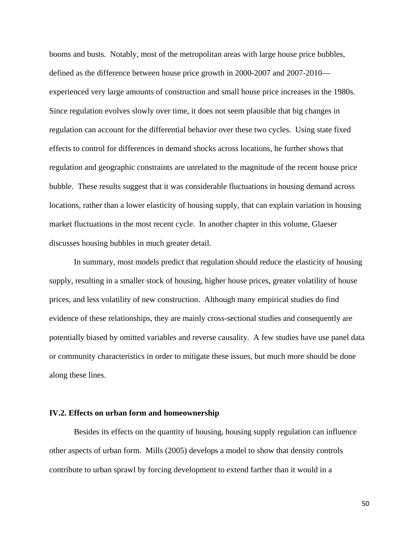booms and busts. Notably, most of the metropolitan areas with large house price bubbles, defined as the difference between house price growth in 2000-2007 and 2007-2010 experienced very large amounts of construction and small house price increases in the 1980s. Since regulation evolves slowly over time, it does not seem plausible that big changes in regulation can account for the differential behavior over these two cycles. Using state fixed effects to control for differences in demand shocks across locations, he further shows that regulation and geographic constraints are unrelated to the magnitude of the recent house price bubble. These results suggest that it was considerable fluctuations in housing demand across locations, rather than a lower elasticity of housing supply, that can explain variation in housing market fluctuations in the most recent cycle. In another chapter in this volume, Glaeser discusses housing bubbles in much greater detail.

In summary, most models predict that regulation should reduce the elasticity of housing supply, resulting in a smaller stock of housing, higher house prices, greater volatility of house prices, and less volatility of new construction. Although many empirical studies do find evidence of these relationships, they are mainly cross-sectional studies and consequently are potentially biased by omitted variables and reverse causality. A few studies have use panel data or community characteristics in order to mitigate these issues, but much more should be done along these lines.

#### **IV.2. Effects on urban form and homeownership**

Besides its effects on the quantity of housing, housing supply regulation can influence other aspects of urban form. Mills (2005) develops a model to show that density controls contribute to urban sprawl by forcing development to extend farther than it would in a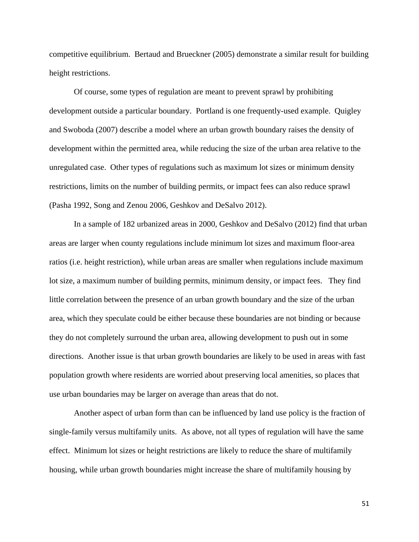competitive equilibrium. Bertaud and Brueckner (2005) demonstrate a similar result for building height restrictions.

Of course, some types of regulation are meant to prevent sprawl by prohibiting development outside a particular boundary. Portland is one frequently-used example. Quigley and Swoboda (2007) describe a model where an urban growth boundary raises the density of development within the permitted area, while reducing the size of the urban area relative to the unregulated case. Other types of regulations such as maximum lot sizes or minimum density restrictions, limits on the number of building permits, or impact fees can also reduce sprawl (Pasha 1992, Song and Zenou 2006, Geshkov and DeSalvo 2012).

In a sample of 182 urbanized areas in 2000, Geshkov and DeSalvo (2012) find that urban areas are larger when county regulations include minimum lot sizes and maximum floor-area ratios (i.e. height restriction), while urban areas are smaller when regulations include maximum lot size, a maximum number of building permits, minimum density, or impact fees. They find little correlation between the presence of an urban growth boundary and the size of the urban area, which they speculate could be either because these boundaries are not binding or because they do not completely surround the urban area, allowing development to push out in some directions. Another issue is that urban growth boundaries are likely to be used in areas with fast population growth where residents are worried about preserving local amenities, so places that use urban boundaries may be larger on average than areas that do not.

Another aspect of urban form than can be influenced by land use policy is the fraction of single-family versus multifamily units. As above, not all types of regulation will have the same effect. Minimum lot sizes or height restrictions are likely to reduce the share of multifamily housing, while urban growth boundaries might increase the share of multifamily housing by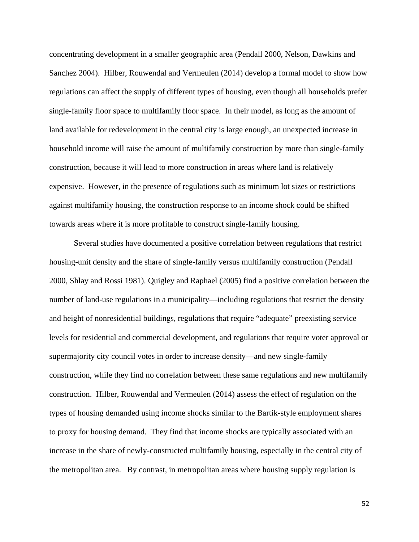concentrating development in a smaller geographic area (Pendall 2000, Nelson, Dawkins and Sanchez 2004). Hilber, Rouwendal and Vermeulen (2014) develop a formal model to show how regulations can affect the supply of different types of housing, even though all households prefer single-family floor space to multifamily floor space. In their model, as long as the amount of land available for redevelopment in the central city is large enough, an unexpected increase in household income will raise the amount of multifamily construction by more than single-family construction, because it will lead to more construction in areas where land is relatively expensive. However, in the presence of regulations such as minimum lot sizes or restrictions against multifamily housing, the construction response to an income shock could be shifted towards areas where it is more profitable to construct single-family housing.

Several studies have documented a positive correlation between regulations that restrict housing-unit density and the share of single-family versus multifamily construction (Pendall 2000, Shlay and Rossi 1981). Quigley and Raphael (2005) find a positive correlation between the number of land-use regulations in a municipality—including regulations that restrict the density and height of nonresidential buildings, regulations that require "adequate" preexisting service levels for residential and commercial development, and regulations that require voter approval or supermajority city council votes in order to increase density—and new single-family construction, while they find no correlation between these same regulations and new multifamily construction. Hilber, Rouwendal and Vermeulen (2014) assess the effect of regulation on the types of housing demanded using income shocks similar to the Bartik-style employment shares to proxy for housing demand. They find that income shocks are typically associated with an increase in the share of newly-constructed multifamily housing, especially in the central city of the metropolitan area. By contrast, in metropolitan areas where housing supply regulation is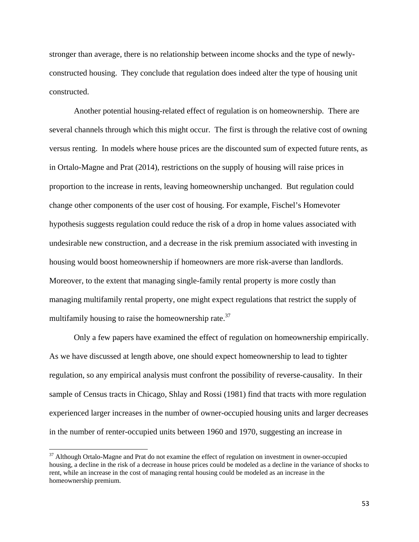stronger than average, there is no relationship between income shocks and the type of newlyconstructed housing. They conclude that regulation does indeed alter the type of housing unit constructed.

Another potential housing-related effect of regulation is on homeownership. There are several channels through which this might occur. The first is through the relative cost of owning versus renting. In models where house prices are the discounted sum of expected future rents, as in Ortalo-Magne and Prat (2014), restrictions on the supply of housing will raise prices in proportion to the increase in rents, leaving homeownership unchanged. But regulation could change other components of the user cost of housing. For example, Fischel's Homevoter hypothesis suggests regulation could reduce the risk of a drop in home values associated with undesirable new construction, and a decrease in the risk premium associated with investing in housing would boost homeownership if homeowners are more risk-averse than landlords. Moreover, to the extent that managing single-family rental property is more costly than managing multifamily rental property, one might expect regulations that restrict the supply of multifamily housing to raise the homeownership rate.<sup>37</sup>

Only a few papers have examined the effect of regulation on homeownership empirically. As we have discussed at length above, one should expect homeownership to lead to tighter regulation, so any empirical analysis must confront the possibility of reverse-causality. In their sample of Census tracts in Chicago, Shlay and Rossi (1981) find that tracts with more regulation experienced larger increases in the number of owner-occupied housing units and larger decreases in the number of renter-occupied units between 1960 and 1970, suggesting an increase in

<sup>&</sup>lt;sup>37</sup> Although Ortalo-Magne and Prat do not examine the effect of regulation on investment in owner-occupied housing, a decline in the risk of a decrease in house prices could be modeled as a decline in the variance of shocks to rent, while an increase in the cost of managing rental housing could be modeled as an increase in the homeownership premium.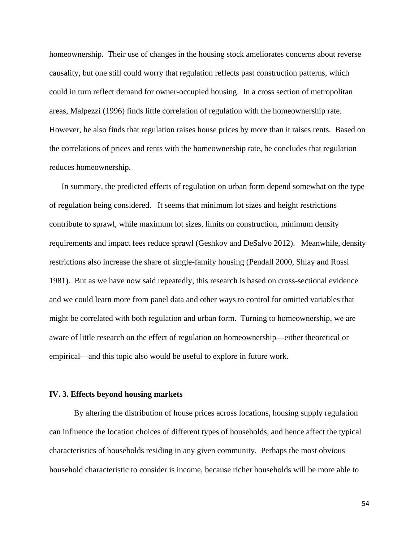homeownership. Their use of changes in the housing stock ameliorates concerns about reverse causality, but one still could worry that regulation reflects past construction patterns, which could in turn reflect demand for owner-occupied housing. In a cross section of metropolitan areas, Malpezzi (1996) finds little correlation of regulation with the homeownership rate. However, he also finds that regulation raises house prices by more than it raises rents. Based on the correlations of prices and rents with the homeownership rate, he concludes that regulation reduces homeownership.

In summary, the predicted effects of regulation on urban form depend somewhat on the type of regulation being considered. It seems that minimum lot sizes and height restrictions contribute to sprawl, while maximum lot sizes, limits on construction, minimum density requirements and impact fees reduce sprawl (Geshkov and DeSalvo 2012). Meanwhile, density restrictions also increase the share of single-family housing (Pendall 2000, Shlay and Rossi 1981). But as we have now said repeatedly, this research is based on cross-sectional evidence and we could learn more from panel data and other ways to control for omitted variables that might be correlated with both regulation and urban form. Turning to homeownership, we are aware of little research on the effect of regulation on homeownership—either theoretical or empirical—and this topic also would be useful to explore in future work.

#### **IV. 3. Effects beyond housing markets**

By altering the distribution of house prices across locations, housing supply regulation can influence the location choices of different types of households, and hence affect the typical characteristics of households residing in any given community. Perhaps the most obvious household characteristic to consider is income, because richer households will be more able to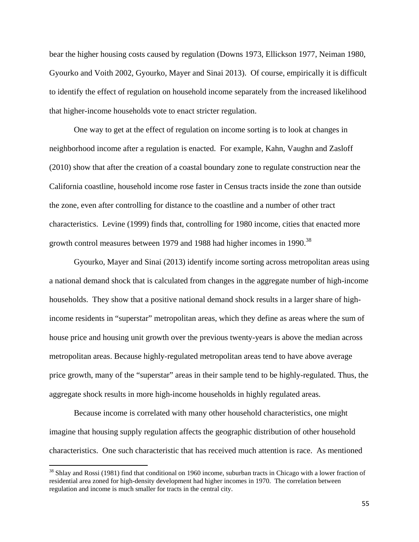bear the higher housing costs caused by regulation (Downs 1973, Ellickson 1977, Neiman 1980, Gyourko and Voith 2002, Gyourko, Mayer and Sinai 2013). Of course, empirically it is difficult to identify the effect of regulation on household income separately from the increased likelihood that higher-income households vote to enact stricter regulation.

One way to get at the effect of regulation on income sorting is to look at changes in neighborhood income after a regulation is enacted. For example, Kahn, Vaughn and Zasloff (2010) show that after the creation of a coastal boundary zone to regulate construction near the California coastline, household income rose faster in Census tracts inside the zone than outside the zone, even after controlling for distance to the coastline and a number of other tract characteristics. Levine (1999) finds that, controlling for 1980 income, cities that enacted more growth control measures between 1979 and 1988 had higher incomes in 1990.<sup>38</sup>

Gyourko, Mayer and Sinai (2013) identify income sorting across metropolitan areas using a national demand shock that is calculated from changes in the aggregate number of high-income households. They show that a positive national demand shock results in a larger share of highincome residents in "superstar" metropolitan areas, which they define as areas where the sum of house price and housing unit growth over the previous twenty-years is above the median across metropolitan areas. Because highly-regulated metropolitan areas tend to have above average price growth, many of the "superstar" areas in their sample tend to be highly-regulated. Thus, the aggregate shock results in more high-income households in highly regulated areas.

Because income is correlated with many other household characteristics, one might imagine that housing supply regulation affects the geographic distribution of other household characteristics. One such characteristic that has received much attention is race. As mentioned

<sup>&</sup>lt;sup>38</sup> Shlay and Rossi (1981) find that conditional on 1960 income, suburban tracts in Chicago with a lower fraction of residential area zoned for high-density development had higher incomes in 1970. The correlation between regulation and income is much smaller for tracts in the central city.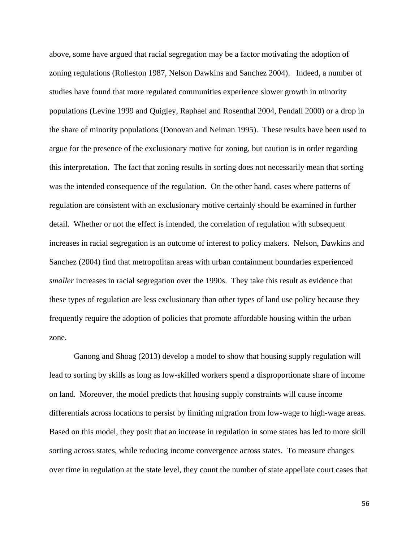above, some have argued that racial segregation may be a factor motivating the adoption of zoning regulations (Rolleston 1987, Nelson Dawkins and Sanchez 2004). Indeed, a number of studies have found that more regulated communities experience slower growth in minority populations (Levine 1999 and Quigley, Raphael and Rosenthal 2004, Pendall 2000) or a drop in the share of minority populations (Donovan and Neiman 1995). These results have been used to argue for the presence of the exclusionary motive for zoning, but caution is in order regarding this interpretation. The fact that zoning results in sorting does not necessarily mean that sorting was the intended consequence of the regulation. On the other hand, cases where patterns of regulation are consistent with an exclusionary motive certainly should be examined in further detail. Whether or not the effect is intended, the correlation of regulation with subsequent increases in racial segregation is an outcome of interest to policy makers. Nelson, Dawkins and Sanchez (2004) find that metropolitan areas with urban containment boundaries experienced *smaller* increases in racial segregation over the 1990s. They take this result as evidence that these types of regulation are less exclusionary than other types of land use policy because they frequently require the adoption of policies that promote affordable housing within the urban zone.

Ganong and Shoag (2013) develop a model to show that housing supply regulation will lead to sorting by skills as long as low-skilled workers spend a disproportionate share of income on land. Moreover, the model predicts that housing supply constraints will cause income differentials across locations to persist by limiting migration from low-wage to high-wage areas. Based on this model, they posit that an increase in regulation in some states has led to more skill sorting across states, while reducing income convergence across states. To measure changes over time in regulation at the state level, they count the number of state appellate court cases that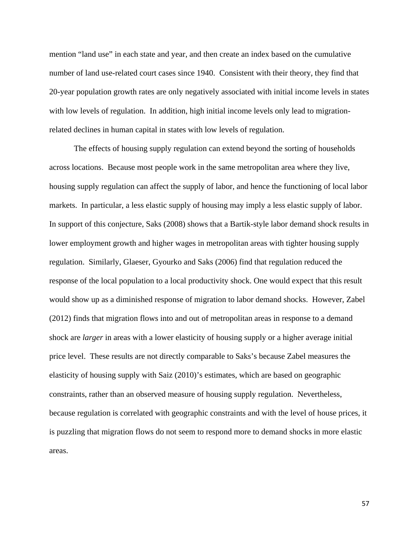mention "land use" in each state and year, and then create an index based on the cumulative number of land use-related court cases since 1940. Consistent with their theory, they find that 20-year population growth rates are only negatively associated with initial income levels in states with low levels of regulation. In addition, high initial income levels only lead to migrationrelated declines in human capital in states with low levels of regulation.

The effects of housing supply regulation can extend beyond the sorting of households across locations. Because most people work in the same metropolitan area where they live, housing supply regulation can affect the supply of labor, and hence the functioning of local labor markets. In particular, a less elastic supply of housing may imply a less elastic supply of labor. In support of this conjecture, Saks (2008) shows that a Bartik-style labor demand shock results in lower employment growth and higher wages in metropolitan areas with tighter housing supply regulation. Similarly, Glaeser, Gyourko and Saks (2006) find that regulation reduced the response of the local population to a local productivity shock. One would expect that this result would show up as a diminished response of migration to labor demand shocks. However, Zabel (2012) finds that migration flows into and out of metropolitan areas in response to a demand shock are *larger* in areas with a lower elasticity of housing supply or a higher average initial price level. These results are not directly comparable to Saks's because Zabel measures the elasticity of housing supply with Saiz (2010)'s estimates, which are based on geographic constraints, rather than an observed measure of housing supply regulation. Nevertheless, because regulation is correlated with geographic constraints and with the level of house prices, it is puzzling that migration flows do not seem to respond more to demand shocks in more elastic areas.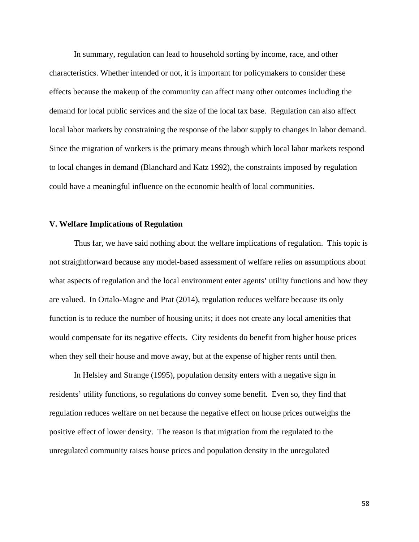In summary, regulation can lead to household sorting by income, race, and other characteristics. Whether intended or not, it is important for policymakers to consider these effects because the makeup of the community can affect many other outcomes including the demand for local public services and the size of the local tax base. Regulation can also affect local labor markets by constraining the response of the labor supply to changes in labor demand. Since the migration of workers is the primary means through which local labor markets respond to local changes in demand (Blanchard and Katz 1992), the constraints imposed by regulation could have a meaningful influence on the economic health of local communities.

### **V. Welfare Implications of Regulation**

Thus far, we have said nothing about the welfare implications of regulation. This topic is not straightforward because any model-based assessment of welfare relies on assumptions about what aspects of regulation and the local environment enter agents' utility functions and how they are valued. In Ortalo-Magne and Prat (2014), regulation reduces welfare because its only function is to reduce the number of housing units; it does not create any local amenities that would compensate for its negative effects. City residents do benefit from higher house prices when they sell their house and move away, but at the expense of higher rents until then.

In Helsley and Strange (1995), population density enters with a negative sign in residents' utility functions, so regulations do convey some benefit. Even so, they find that regulation reduces welfare on net because the negative effect on house prices outweighs the positive effect of lower density. The reason is that migration from the regulated to the unregulated community raises house prices and population density in the unregulated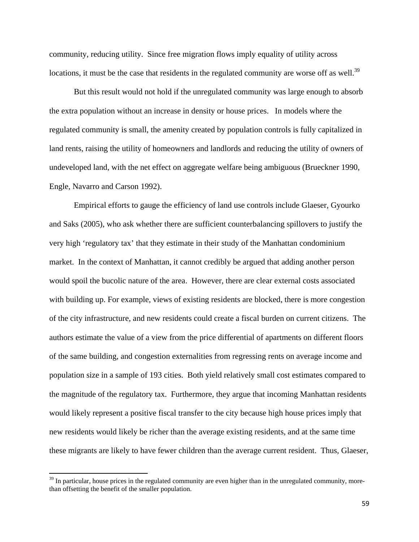community, reducing utility. Since free migration flows imply equality of utility across locations, it must be the case that residents in the regulated community are worse off as well.<sup>39</sup>

But this result would not hold if the unregulated community was large enough to absorb the extra population without an increase in density or house prices. In models where the regulated community is small, the amenity created by population controls is fully capitalized in land rents, raising the utility of homeowners and landlords and reducing the utility of owners of undeveloped land, with the net effect on aggregate welfare being ambiguous (Brueckner 1990, Engle, Navarro and Carson 1992).

Empirical efforts to gauge the efficiency of land use controls include Glaeser, Gyourko and Saks (2005), who ask whether there are sufficient counterbalancing spillovers to justify the very high 'regulatory tax' that they estimate in their study of the Manhattan condominium market. In the context of Manhattan, it cannot credibly be argued that adding another person would spoil the bucolic nature of the area. However, there are clear external costs associated with building up. For example, views of existing residents are blocked, there is more congestion of the city infrastructure, and new residents could create a fiscal burden on current citizens. The authors estimate the value of a view from the price differential of apartments on different floors of the same building, and congestion externalities from regressing rents on average income and population size in a sample of 193 cities. Both yield relatively small cost estimates compared to the magnitude of the regulatory tax. Furthermore, they argue that incoming Manhattan residents would likely represent a positive fiscal transfer to the city because high house prices imply that new residents would likely be richer than the average existing residents, and at the same time these migrants are likely to have fewer children than the average current resident. Thus, Glaeser,

 $39$  In particular, house prices in the regulated community are even higher than in the unregulated community, morethan offsetting the benefit of the smaller population.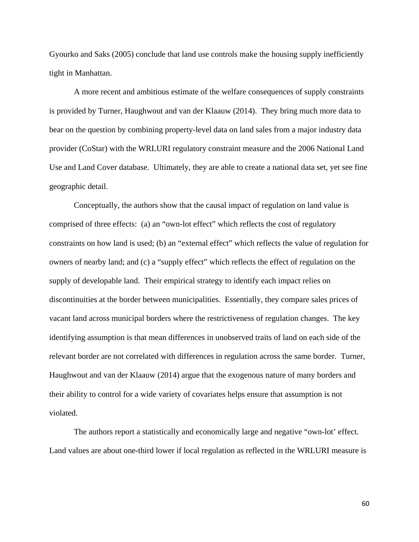Gyourko and Saks (2005) conclude that land use controls make the housing supply inefficiently tight in Manhattan.

A more recent and ambitious estimate of the welfare consequences of supply constraints is provided by Turner, Haughwout and van der Klaauw (2014). They bring much more data to bear on the question by combining property-level data on land sales from a major industry data provider (CoStar) with the WRLURI regulatory constraint measure and the 2006 National Land Use and Land Cover database. Ultimately, they are able to create a national data set, yet see fine geographic detail.

Conceptually, the authors show that the causal impact of regulation on land value is comprised of three effects: (a) an "own-lot effect" which reflects the cost of regulatory constraints on how land is used; (b) an "external effect" which reflects the value of regulation for owners of nearby land; and (c) a "supply effect" which reflects the effect of regulation on the supply of developable land. Their empirical strategy to identify each impact relies on discontinuities at the border between municipalities. Essentially, they compare sales prices of vacant land across municipal borders where the restrictiveness of regulation changes. The key identifying assumption is that mean differences in unobserved traits of land on each side of the relevant border are not correlated with differences in regulation across the same border. Turner, Haughwout and van der Klaauw (2014) argue that the exogenous nature of many borders and their ability to control for a wide variety of covariates helps ensure that assumption is not violated.

The authors report a statistically and economically large and negative "own-lot' effect. Land values are about one-third lower if local regulation as reflected in the WRLURI measure is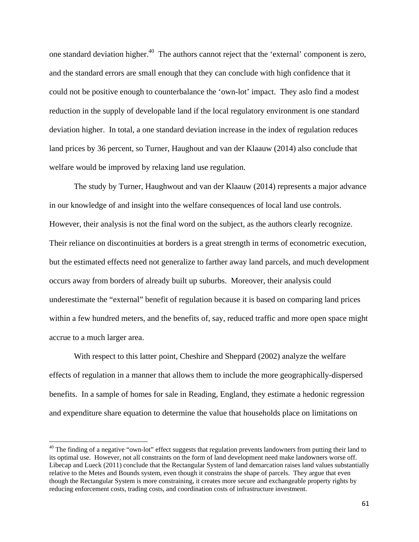one standard deviation higher.<sup>40</sup> The authors cannot reject that the 'external' component is zero, and the standard errors are small enough that they can conclude with high confidence that it could not be positive enough to counterbalance the 'own-lot' impact. They aslo find a modest reduction in the supply of developable land if the local regulatory environment is one standard deviation higher. In total, a one standard deviation increase in the index of regulation reduces land prices by 36 percent, so Turner, Haughout and van der Klaauw (2014) also conclude that welfare would be improved by relaxing land use regulation.

The study by Turner, Haughwout and van der Klaauw (2014) represents a major advance in our knowledge of and insight into the welfare consequences of local land use controls. However, their analysis is not the final word on the subject, as the authors clearly recognize. Their reliance on discontinuities at borders is a great strength in terms of econometric execution, but the estimated effects need not generalize to farther away land parcels, and much development occurs away from borders of already built up suburbs. Moreover, their analysis could underestimate the "external" benefit of regulation because it is based on comparing land prices within a few hundred meters, and the benefits of, say, reduced traffic and more open space might accrue to a much larger area.

With respect to this latter point, Cheshire and Sheppard (2002) analyze the welfare effects of regulation in a manner that allows them to include the more geographically-dispersed benefits. In a sample of homes for sale in Reading, England, they estimate a hedonic regression and expenditure share equation to determine the value that households place on limitations on

 $40$  The finding of a negative "own-lot" effect suggests that regulation prevents landowners from putting their land to its optimal use. However, not all constraints on the form of land development need make landowners worse off. Libecap and Lueck (2011) conclude that the Rectangular System of land demarcation raises land values substantially relative to the Metes and Bounds system, even though it constrains the shape of parcels. They argue that even though the Rectangular System is more constraining, it creates more secure and exchangeable property rights by reducing enforcement costs, trading costs, and coordination costs of infrastructure investment.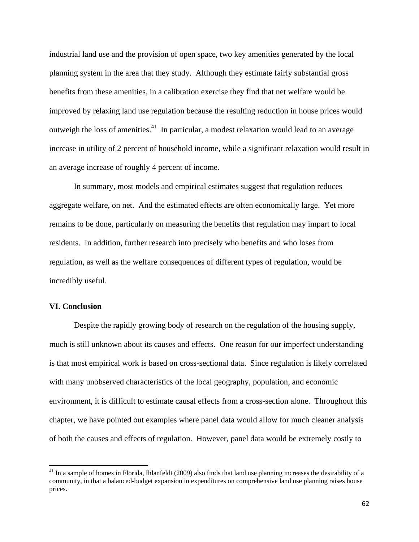industrial land use and the provision of open space, two key amenities generated by the local planning system in the area that they study. Although they estimate fairly substantial gross benefits from these amenities, in a calibration exercise they find that net welfare would be improved by relaxing land use regulation because the resulting reduction in house prices would outweigh the loss of amenities.<sup>41</sup> In particular, a modest relaxation would lead to an average increase in utility of 2 percent of household income, while a significant relaxation would result in an average increase of roughly 4 percent of income.

In summary, most models and empirical estimates suggest that regulation reduces aggregate welfare, on net. And the estimated effects are often economically large. Yet more remains to be done, particularly on measuring the benefits that regulation may impart to local residents. In addition, further research into precisely who benefits and who loses from regulation, as well as the welfare consequences of different types of regulation, would be incredibly useful.

# **VI. Conclusion**

Despite the rapidly growing body of research on the regulation of the housing supply, much is still unknown about its causes and effects. One reason for our imperfect understanding is that most empirical work is based on cross-sectional data. Since regulation is likely correlated with many unobserved characteristics of the local geography, population, and economic environment, it is difficult to estimate causal effects from a cross-section alone. Throughout this chapter, we have pointed out examples where panel data would allow for much cleaner analysis of both the causes and effects of regulation. However, panel data would be extremely costly to

 $41$  In a sample of homes in Florida, Ihlanfeldt (2009) also finds that land use planning increases the desirability of a community, in that a balanced-budget expansion in expenditures on comprehensive land use planning raises house prices.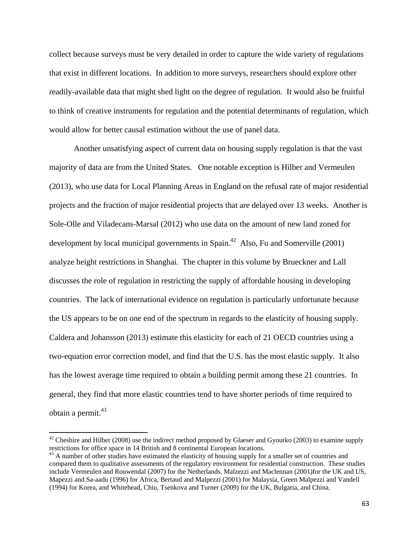collect because surveys must be very detailed in order to capture the wide variety of regulations that exist in different locations. In addition to more surveys, researchers should explore other readily-available data that might shed light on the degree of regulation. It would also be fruitful to think of creative instruments for regulation and the potential determinants of regulation, which would allow for better causal estimation without the use of panel data.

Another unsatisfying aspect of current data on housing supply regulation is that the vast majority of data are from the United States. One notable exception is Hilber and Vermeulen (2013), who use data for Local Planning Areas in England on the refusal rate of major residential projects and the fraction of major residential projects that are delayed over 13 weeks. Another is Sole-Olle and Viladecans-Marsal (2012) who use data on the amount of new land zoned for development by local municipal governments in Spain.<sup>42</sup> Also, Fu and Somerville  $(2001)$ analyze height restrictions in Shanghai. The chapter in this volume by Brueckner and Lall discusses the role of regulation in restricting the supply of affordable housing in developing countries. The lack of international evidence on regulation is particularly unfortunate because the US appears to be on one end of the spectrum in regards to the elasticity of housing supply. Caldera and Johansson (2013) estimate this elasticity for each of 21 OECD countries using a two-equation error correction model, and find that the U.S. has the most elastic supply. It also has the lowest average time required to obtain a building permit among these 21 countries. In general, they find that more elastic countries tend to have shorter periods of time required to obtain a permit.<sup>43</sup>

 $42$  Cheshire and Hilber (2008) use the indirect method proposed by Glaeser and Gyourko (2003) to examine supply restrictions for office space in 14 British and 8 continental European locations.

 $43$  A number of other studies have estimated the elasticity of housing supply for a smaller set of countries and compared them to qualitative assessments of the regulatory environment for residential construction. These studies include Vermeulen and Rouwendal (2007) for the Netherlands, Malzezzi and Maclennan (2001)for the UK and US, Mapezzi and Sa-aadu (1996) for Africa, Bertaud and Malpezzi (2001) for Malaysia, Green Malpezzi and Vandell (1994) for Korea, and Whitehead, Chiu, Tsenkova and Turner (2009) for the UK, Bulgaria, and China.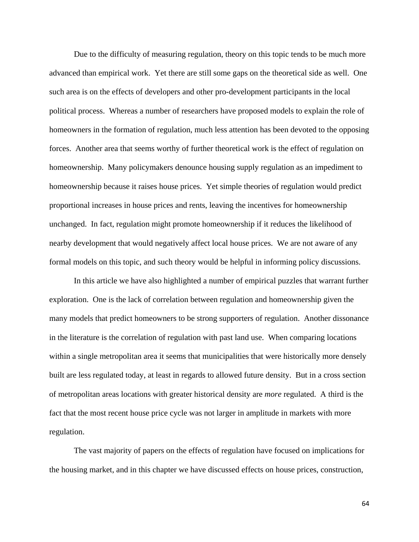Due to the difficulty of measuring regulation, theory on this topic tends to be much more advanced than empirical work. Yet there are still some gaps on the theoretical side as well. One such area is on the effects of developers and other pro-development participants in the local political process. Whereas a number of researchers have proposed models to explain the role of homeowners in the formation of regulation, much less attention has been devoted to the opposing forces. Another area that seems worthy of further theoretical work is the effect of regulation on homeownership. Many policymakers denounce housing supply regulation as an impediment to homeownership because it raises house prices. Yet simple theories of regulation would predict proportional increases in house prices and rents, leaving the incentives for homeownership unchanged. In fact, regulation might promote homeownership if it reduces the likelihood of nearby development that would negatively affect local house prices. We are not aware of any formal models on this topic, and such theory would be helpful in informing policy discussions.

In this article we have also highlighted a number of empirical puzzles that warrant further exploration. One is the lack of correlation between regulation and homeownership given the many models that predict homeowners to be strong supporters of regulation. Another dissonance in the literature is the correlation of regulation with past land use. When comparing locations within a single metropolitan area it seems that municipalities that were historically more densely built are less regulated today, at least in regards to allowed future density. But in a cross section of metropolitan areas locations with greater historical density are *more* regulated. A third is the fact that the most recent house price cycle was not larger in amplitude in markets with more regulation.

The vast majority of papers on the effects of regulation have focused on implications for the housing market, and in this chapter we have discussed effects on house prices, construction,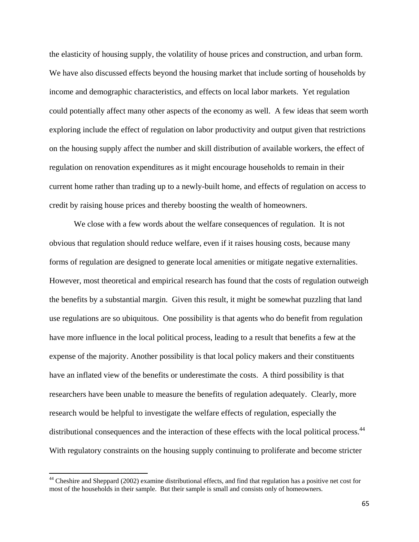the elasticity of housing supply, the volatility of house prices and construction, and urban form. We have also discussed effects beyond the housing market that include sorting of households by income and demographic characteristics, and effects on local labor markets. Yet regulation could potentially affect many other aspects of the economy as well. A few ideas that seem worth exploring include the effect of regulation on labor productivity and output given that restrictions on the housing supply affect the number and skill distribution of available workers, the effect of regulation on renovation expenditures as it might encourage households to remain in their current home rather than trading up to a newly-built home, and effects of regulation on access to credit by raising house prices and thereby boosting the wealth of homeowners.

We close with a few words about the welfare consequences of regulation. It is not obvious that regulation should reduce welfare, even if it raises housing costs, because many forms of regulation are designed to generate local amenities or mitigate negative externalities. However, most theoretical and empirical research has found that the costs of regulation outweigh the benefits by a substantial margin. Given this result, it might be somewhat puzzling that land use regulations are so ubiquitous. One possibility is that agents who do benefit from regulation have more influence in the local political process, leading to a result that benefits a few at the expense of the majority. Another possibility is that local policy makers and their constituents have an inflated view of the benefits or underestimate the costs. A third possibility is that researchers have been unable to measure the benefits of regulation adequately. Clearly, more research would be helpful to investigate the welfare effects of regulation, especially the distributional consequences and the interaction of these effects with the local political process.<sup>44</sup> With regulatory constraints on the housing supply continuing to proliferate and become stricter

<sup>&</sup>lt;sup>44</sup> Cheshire and Sheppard (2002) examine distributional effects, and find that regulation has a positive net cost for most of the households in their sample. But their sample is small and consists only of homeowners.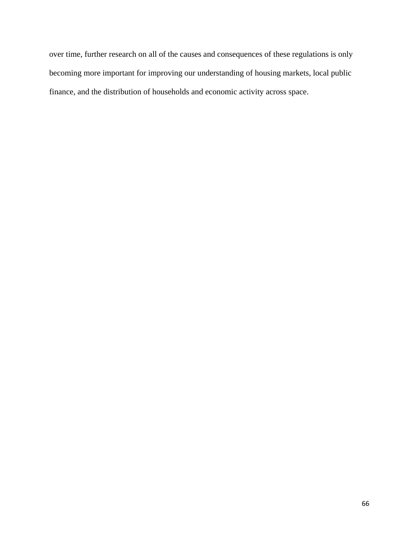over time, further research on all of the causes and consequences of these regulations is only becoming more important for improving our understanding of housing markets, local public finance, and the distribution of households and economic activity across space.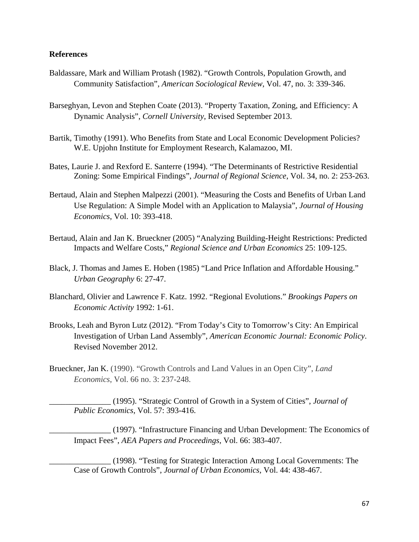# **References**

- Baldassare, Mark and William Protash (1982). "Growth Controls, Population Growth, and Community Satisfaction", *American Sociological Review*, Vol. 47, no. 3: 339-346.
- Barseghyan, Levon and Stephen Coate (2013). "Property Taxation, Zoning, and Efficiency: A Dynamic Analysis", *Cornell University*, Revised September 2013.
- Bartik, Timothy (1991). Who Benefits from State and Local Economic Development Policies? W.E. Upjohn Institute for Employment Research, Kalamazoo, MI.
- Bates, Laurie J. and Rexford E. Santerre (1994). "The Determinants of Restrictive Residential Zoning: Some Empirical Findings", *Journal of Regional Science*, Vol. 34, no. 2: 253-263.
- Bertaud, Alain and Stephen Malpezzi (2001). "Measuring the Costs and Benefits of Urban Land Use Regulation: A Simple Model with an Application to Malaysia", *Journal of Housing Economics*, Vol. 10: 393-418.
- Bertaud, Alain and Jan K. Brueckner (2005) "Analyzing Building-Height Restrictions: Predicted Impacts and Welfare Costs," *Regional Science and Urban Economics* 25: 109-125.
- Black, J. Thomas and James E. Hoben (1985) "Land Price Inflation and Affordable Housing." *Urban Geography* 6: 27-47.
- Blanchard, Olivier and Lawrence F. Katz. 1992. "Regional Evolutions." *Brookings Papers on Economic Activity* 1992: 1-61.
- Brooks, Leah and Byron Lutz (2012). "From Today's City to Tomorrow's City: An Empirical Investigation of Urban Land Assembly", *American Economic Journal: Economic Policy*. Revised November 2012.
- Brueckner, Jan K. (1990). "Growth Controls and Land Values in an Open City", *Land Economics*, Vol. 66 no. 3: 237-248.

\_\_\_\_\_\_\_\_\_\_\_\_\_\_\_ (1995). "Strategic Control of Growth in a System of Cities", *Journal of Public Economics*, Vol. 57: 393-416.

\_\_\_\_\_\_\_\_\_\_\_\_\_\_\_ (1997). "Infrastructure Financing and Urban Development: The Economics of Impact Fees", *AEA Papers and Proceedings*, Vol. 66: 383-407.

\_\_\_\_\_\_\_\_\_\_\_\_\_\_\_ (1998). "Testing for Strategic Interaction Among Local Governments: The Case of Growth Controls", *Journal of Urban Economics*, Vol. 44: 438-467.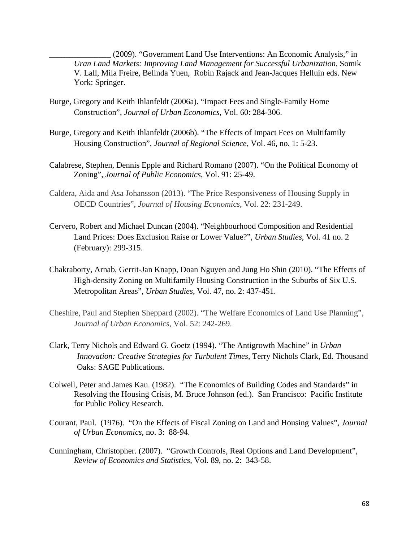\_\_\_\_\_\_\_\_\_\_\_\_\_\_\_ (2009). "Government Land Use Interventions: An Economic Analysis," in *Uran Land Markets: Improving Land Management for Successful Urbanization*, Somik V. Lall, Mila Freire, Belinda Yuen, Robin Rajack and Jean-Jacques Helluin eds. New York: Springer.

- Burge, Gregory and Keith Ihlanfeldt (2006a). "Impact Fees and Single-Family Home Construction", *Journal of Urban Economics*, Vol. 60: 284-306.
- Burge, Gregory and Keith Ihlanfeldt (2006b). "The Effects of Impact Fees on Multifamily Housing Construction", *Journal of Regional Science*, Vol. 46, no. 1: 5-23.
- Calabrese, Stephen, Dennis Epple and Richard Romano (2007). "On the Political Economy of Zoning", *Journal of Public Economics*, Vol. 91: 25-49.
- Caldera, Aida and Asa Johansson (2013). "The Price Responsiveness of Housing Supply in OECD Countries", *Journal of Housing Economics*, Vol. 22: 231-249.
- Cervero, Robert and Michael Duncan (2004). "Neighbourhood Composition and Residential Land Prices: Does Exclusion Raise or Lower Value?", *Urban Studies*, Vol. 41 no. 2 (February): 299-315.
- Chakraborty, Arnab, Gerrit-Jan Knapp, Doan Nguyen and Jung Ho Shin (2010). "The Effects of High-density Zoning on Multifamily Housing Construction in the Suburbs of Six U.S. Metropolitan Areas", *Urban Studies*, Vol. 47, no. 2: 437-451.
- Cheshire, Paul and Stephen Sheppard (2002). "The Welfare Economics of Land Use Planning", *Journal of Urban Economics*, Vol. 52: 242-269.
- Clark, Terry Nichols and Edward G. Goetz (1994). "The Antigrowth Machine" in *Urban Innovation: Creative Strategies for Turbulent Times*, Terry Nichols Clark, Ed. Thousand Oaks: SAGE Publications.
- Colwell, Peter and James Kau. (1982). "The Economics of Building Codes and Standards" in Resolving the Housing Crisis, M. Bruce Johnson (ed.). San Francisco: Pacific Institute for Public Policy Research.
- Courant, Paul. (1976). "On the Effects of Fiscal Zoning on Land and Housing Values", *Journal of Urban Economics*, no. 3: 88-94.
- Cunningham, Christopher. (2007). "Growth Controls, Real Options and Land Development", *Review of Economics and Statistics*, Vol. 89, no. 2: 343-58.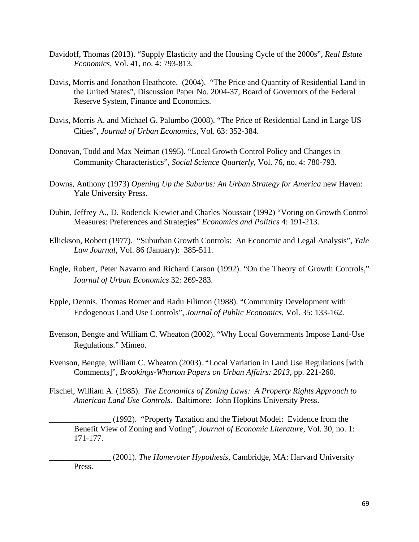- Davidoff, Thomas (2013). "Supply Elasticity and the Housing Cycle of the 2000s", *Real Estate Economics*, Vol. 41, no. 4: 793-813.
- Davis, Morris and Jonathon Heathcote. (2004). "The Price and Quantity of Residential Land in the United States", Discussion Paper No. 2004-37, Board of Governors of the Federal Reserve System, Finance and Economics.
- Davis, Morris A. and Michael G. Palumbo (2008). "The Price of Residential Land in Large US Cities", *Journal of Urban Economics*, Vol. 63: 352-384.
- Donovan, Todd and Max Neiman (1995). "Local Growth Control Policy and Changes in Community Characteristics", *Social Science Quarterly,* Vol. 76, no. 4: 780-793.
- Downs, Anthony (1973) *Opening Up the Suburbs: An Urban Strategy for America* new Haven: Yale University Press.
- Dubin, Jeffrey A., D. Roderick Kiewiet and Charles Noussair (1992) "Voting on Growth Control Measures: Preferences and Strategies" *Economics and Politics* 4: 191-213.
- Ellickson, Robert (1977). "Suburban Growth Controls: An Economic and Legal Analysis", *Yale Law Journal*, Vol. 86 (January): 385-511.
- Engle, Robert, Peter Navarro and Richard Carson (1992). "On the Theory of Growth Controls," J*ournal of Urban Economics* 32: 269-283.
- Epple, Dennis, Thomas Romer and Radu Filimon (1988). "Community Development with Endogenous Land Use Controls", *Journal of Public Economics*, Vol. 35: 133-162.
- Evenson, Bengte and William C. Wheaton (2002). "Why Local Governments Impose Land-Use Regulations." Mimeo.
- Evenson, Bengte, William C. Wheaton (2003). "Local Variation in Land Use Regulations [with Comments]", *Brookings-Wharton Papers on Urban Affairs: 2013*, pp. 221-260.
- Fischel, William A. (1985). *The Economics of Zoning Laws: A Property Rights Approach to American Land Use Controls*. Baltimore: John Hopkins University Press.

\_\_\_\_\_\_\_\_\_\_\_\_\_\_\_ (1992). "Property Taxation and the Tiebout Model: Evidence from the Benefit View of Zoning and Voting", *Journal of Economic Literature*, Vol. 30, no. 1: 171-177.

\_\_\_\_\_\_\_\_\_\_\_\_\_\_\_ (2001). *The Homevoter Hypothesis*, Cambridge, MA: Harvard University Press.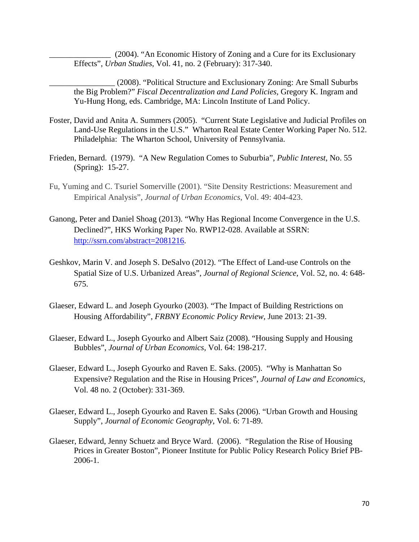\_\_\_\_\_\_\_\_\_\_\_\_\_\_\_ (2004). "An Economic History of Zoning and a Cure for its Exclusionary Effects", *Urban Studies*, Vol. 41, no. 2 (February): 317-340.

\_\_\_\_\_\_\_\_\_\_\_\_\_\_\_\_ (2008). "Political Structure and Exclusionary Zoning: Are Small Suburbs the Big Problem?" *Fiscal Decentralization and Land Policies,* Gregory K. Ingram and Yu-Hung Hong, eds. Cambridge, MA: Lincoln Institute of Land Policy.

- Foster, David and Anita A. Summers (2005). "Current State Legislative and Judicial Profiles on Land-Use Regulations in the U.S." Wharton Real Estate Center Working Paper No. 512. Philadelphia: The Wharton School, University of Pennsylvania.
- Frieden, Bernard. (1979). "A New Regulation Comes to Suburbia", *Public Interest*, No. 55 (Spring): 15-27.
- Fu, Yuming and C. Tsuriel Somerville (2001). "Site Density Restrictions: Measurement and Empirical Analysis", *Journal of Urban Economics*, Vol. 49: 404-423.
- Ganong, Peter and Daniel Shoag (2013). "Why Has Regional Income Convergence in the U.S. Declined?", HKS Working Paper No. RWP12-028. Available at SSRN: http://ssrn.com/abstract=2081216.
- Geshkov, Marin V. and Joseph S. DeSalvo (2012). "The Effect of Land-use Controls on the Spatial Size of U.S. Urbanized Areas", *Journal of Regional Science*, Vol. 52, no. 4: 648- 675.
- Glaeser, Edward L. and Joseph Gyourko (2003). "The Impact of Building Restrictions on Housing Affordability", *FRBNY Economic Policy Review*, June 2013: 21-39.
- Glaeser, Edward L., Joseph Gyourko and Albert Saiz (2008). "Housing Supply and Housing Bubbles", *Journal of Urban Economics*, Vol. 64: 198-217.
- Glaeser, Edward L., Joseph Gyourko and Raven E. Saks. (2005). "Why is Manhattan So Expensive? Regulation and the Rise in Housing Prices", *Journal of Law and Economics*, Vol. 48 no. 2 (October): 331-369.
- Glaeser, Edward L., Joseph Gyourko and Raven E. Saks (2006). "Urban Growth and Housing Supply", *Journal of Economic Geography*, Vol. 6: 71-89.
- Glaeser, Edward, Jenny Schuetz and Bryce Ward. (2006). "Regulation the Rise of Housing Prices in Greater Boston", Pioneer Institute for Public Policy Research Policy Brief PB-2006-1.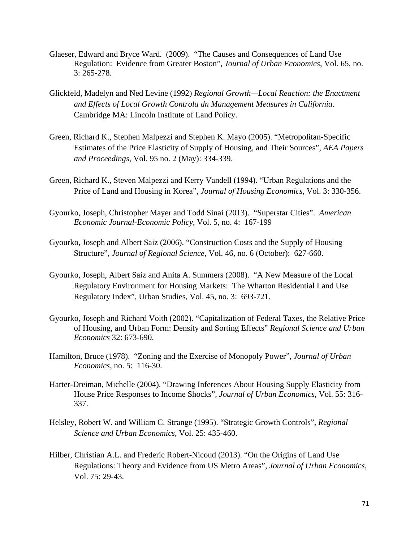- Glaeser, Edward and Bryce Ward. (2009). "The Causes and Consequences of Land Use Regulation: Evidence from Greater Boston", *Journal of Urban Economics*, Vol. 65, no. 3: 265-278.
- Glickfeld, Madelyn and Ned Levine (1992) *Regional Growth—Local Reaction: the Enactment and Effects of Local Growth Controla dn Management Measures in California*. Cambridge MA: Lincoln Institute of Land Policy.
- Green, Richard K., Stephen Malpezzi and Stephen K. Mayo (2005). "Metropolitan-Specific Estimates of the Price Elasticity of Supply of Housing, and Their Sources", *AEA Papers and Proceedings*, Vol. 95 no. 2 (May): 334-339.
- Green, Richard K., Steven Malpezzi and Kerry Vandell (1994). "Urban Regulations and the Price of Land and Housing in Korea", *Journal of Housing Economics*, Vol. 3: 330-356.
- Gyourko, Joseph, Christopher Mayer and Todd Sinai (2013). "Superstar Cities". *American Economic Journal-Economic Policy*, Vol. 5, no. 4: 167-199
- Gyourko, Joseph and Albert Saiz (2006). "Construction Costs and the Supply of Housing Structure", *Journal of Regional Science*, Vol. 46, no. 6 (October): 627-660.
- Gyourko, Joseph, Albert Saiz and Anita A. Summers (2008). "A New Measure of the Local Regulatory Environment for Housing Markets: The Wharton Residential Land Use Regulatory Index", Urban Studies, Vol. 45, no. 3: 693-721.
- Gyourko, Joseph and Richard Voith (2002). "Capitalization of Federal Taxes, the Relative Price of Housing, and Urban Form: Density and Sorting Effects" *Regional Science and Urban Economics* 32: 673-690.
- Hamilton, Bruce (1978). "Zoning and the Exercise of Monopoly Power", *Journal of Urban Economics*, no. 5: 116-30.
- Harter-Dreiman, Michelle (2004). "Drawing Inferences About Housing Supply Elasticity from House Price Responses to Income Shocks", *Journal of Urban Economics*, Vol. 55: 316- 337.
- Helsley, Robert W. and William C. Strange (1995). "Strategic Growth Controls", *Regional Science and Urban Economics*, Vol. 25: 435-460.
- Hilber, Christian A.L. and Frederic Robert-Nicoud (2013). "On the Origins of Land Use Regulations: Theory and Evidence from US Metro Areas", *Journal of Urban Economics*, Vol. 75: 29-43.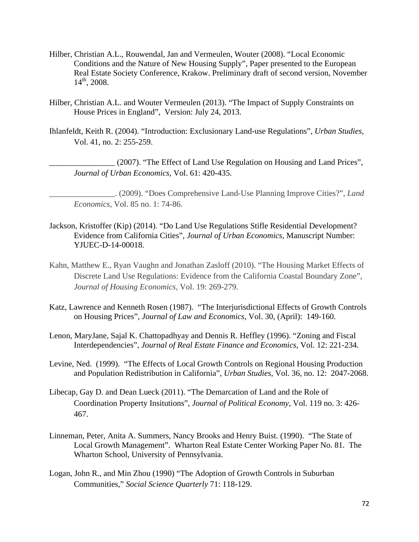- Hilber, Christian A.L., Rouwendal, Jan and Vermeulen, Wouter (2008). "Local Economic Conditions and the Nature of New Housing Supply", Paper presented to the European Real Estate Society Conference, Krakow. Preliminary draft of second version, November  $14^{\text{th}}$ , 2008.
- Hilber, Christian A.L. and Wouter Vermeulen (2013). "The Impact of Supply Constraints on House Prices in England", Version: July 24, 2013.
- Ihlanfeldt, Keith R. (2004). "Introduction: Exclusionary Land-use Regulations", *Urban Studies*, Vol. 41, no. 2: 255-259.

(2007). "The Effect of Land Use Regulation on Housing and Land Prices", *Journal of Urban Economics*, Vol. 61: 420-435.

- \_\_\_\_\_\_\_\_\_\_\_\_\_\_\_\_. (2009). "Does Comprehensive Land-Use Planning Improve Cities?", *Land Economics*, Vol. 85 no. 1: 74-86.
- Jackson, Kristoffer (Kip) (2014). "Do Land Use Regulations Stifle Residential Development? Evidence from California Cities", *Journal of Urban Economics*, Manuscript Number: YJUEC-D-14-00018.
- Kahn, Matthew E., Ryan Vaughn and Jonathan Zasloff (2010). "The Housing Market Effects of Discrete Land Use Regulations: Evidence from the California Coastal Boundary Zone", *Journal of Housing Economics*, Vol. 19: 269-279.
- Katz, Lawrence and Kenneth Rosen (1987). "The Interjurisdictional Effects of Growth Controls on Housing Prices", *Journal of Law and Economics*, Vol. 30, (April): 149-160.
- Lenon, MaryJane, Sajal K. Chattopadhyay and Dennis R. Heffley (1996). "Zoning and Fiscal Interdependencies", *Journal of Real Estate Finance and Economics*, Vol. 12: 221-234.

Levine, Ned. (1999). "The Effects of Local Growth Controls on Regional Housing Production and Population Redistribution in California", *Urban Studies*, Vol. 36, no. 12: 2047-2068.

- Libecap, Gay D. and Dean Lueck (2011). "The Demarcation of Land and the Role of Coordination Property Insitutions", *Journal of Political Economy*, Vol. 119 no. 3: 426- 467.
- Linneman, Peter, Anita A. Summers, Nancy Brooks and Henry Buist. (1990). "The State of Local Growth Management". Wharton Real Estate Center Working Paper No. 81. The Wharton School, University of Pennsylvania.
- Logan, John R., and Min Zhou (1990) "The Adoption of Growth Controls in Suburban Communities," *Social Science Quarterly* 71: 118-129.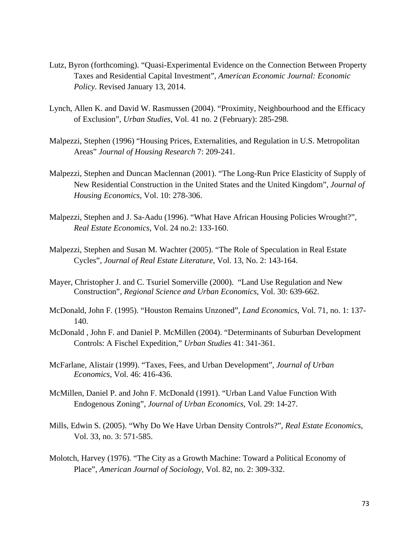- Lutz, Byron (forthcoming). "Quasi-Experimental Evidence on the Connection Between Property Taxes and Residential Capital Investment", *American Economic Journal: Economic Policy*. Revised January 13, 2014.
- Lynch, Allen K. and David W. Rasmussen (2004). "Proximity, Neighbourhood and the Efficacy of Exclusion", *Urban Studies*, Vol. 41 no. 2 (February): 285-298.
- Malpezzi, Stephen (1996) "Housing Prices, Externalities, and Regulation in U.S. Metropolitan Areas" *Journal of Housing Research* 7: 209-241.
- Malpezzi, Stephen and Duncan Maclennan (2001). "The Long-Run Price Elasticity of Supply of New Residential Construction in the United States and the United Kingdom", *Journal of Housing Economics*, Vol. 10: 278-306.
- Malpezzi, Stephen and J. Sa-Aadu (1996). "What Have African Housing Policies Wrought?", *Real Estate Economics*, Vol. 24 no.2: 133-160.
- Malpezzi, Stephen and Susan M. Wachter (2005). "The Role of Speculation in Real Estate Cycles", *Journal of Real Estate Literature*, Vol. 13, No. 2: 143-164.
- Mayer, Christopher J. and C. Tsuriel Somerville (2000). "Land Use Regulation and New Construction", *Regional Science and Urban Economics*, Vol. 30: 639-662.
- McDonald, John F. (1995). "Houston Remains Unzoned", *Land Economics*, Vol. 71, no. 1: 137- 140.
- McDonald , John F. and Daniel P. McMillen (2004). "Determinants of Suburban Development Controls: A Fischel Expedition," *Urban Studies* 41: 341-361.
- McFarlane, Alistair (1999). "Taxes, Fees, and Urban Development", *Journal of Urban Economics*, Vol. 46: 416-436.
- McMillen, Daniel P. and John F. McDonald (1991). "Urban Land Value Function With Endogenous Zoning", *Journal of Urban Economics*, Vol. 29: 14-27.
- Mills, Edwin S. (2005). "Why Do We Have Urban Density Controls?", *Real Estate Economics*, Vol. 33, no. 3: 571-585.
- Molotch, Harvey (1976). "The City as a Growth Machine: Toward a Political Economy of Place", *American Journal of Sociology*, Vol. 82, no. 2: 309-332.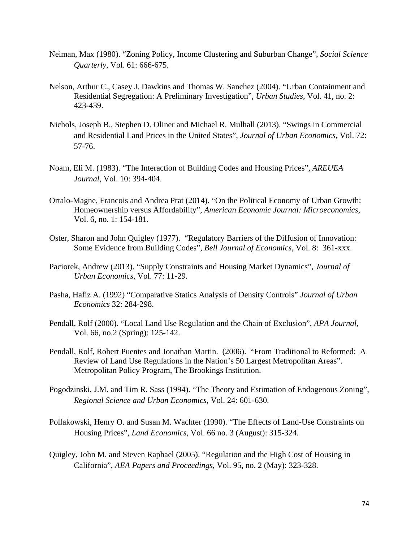- Neiman, Max (1980). "Zoning Policy, Income Clustering and Suburban Change", *Social Science Quarterly*, Vol. 61: 666-675.
- Nelson, Arthur C., Casey J. Dawkins and Thomas W. Sanchez (2004). "Urban Containment and Residential Segregation: A Preliminary Investigation", *Urban Studies*, Vol. 41, no. 2: 423-439.
- Nichols, Joseph B., Stephen D. Oliner and Michael R. Mulhall (2013). "Swings in Commercial and Residential Land Prices in the United States", *Journal of Urban Economics*, Vol. 72: 57-76.
- Noam, Eli M. (1983). "The Interaction of Building Codes and Housing Prices", *AREUEA Journal*, Vol. 10: 394-404.
- Ortalo-Magne, Francois and Andrea Prat (2014). "On the Political Economy of Urban Growth: Homeownership versus Affordability", *American Economic Journal: Microeconomics*, Vol. 6, no. 1: 154-181.
- Oster, Sharon and John Quigley (1977). "Regulatory Barriers of the Diffusion of Innovation: Some Evidence from Building Codes", *Bell Journal of Economics*, Vol. 8: 361-xxx.
- Paciorek, Andrew (2013). "Supply Constraints and Housing Market Dynamics", *Journal of Urban Economics*, Vol. 77: 11-29.
- Pasha, Hafiz A. (1992) "Comparative Statics Analysis of Density Controls" *Journal of Urban Economics* 32: 284-298.
- Pendall, Rolf (2000). "Local Land Use Regulation and the Chain of Exclusion", *APA Journal*, Vol. 66, no.2 (Spring): 125-142.
- Pendall, Rolf, Robert Puentes and Jonathan Martin. (2006). "From Traditional to Reformed: A Review of Land Use Regulations in the Nation's 50 Largest Metropolitan Areas". Metropolitan Policy Program, The Brookings Institution.
- Pogodzinski, J.M. and Tim R. Sass (1994). "The Theory and Estimation of Endogenous Zoning", *Regional Science and Urban Economics*, Vol. 24: 601-630.
- Pollakowski, Henry O. and Susan M. Wachter (1990). "The Effects of Land-Use Constraints on Housing Prices", *Land Economics*, Vol. 66 no. 3 (August): 315-324.
- Quigley, John M. and Steven Raphael (2005). "Regulation and the High Cost of Housing in California", *AEA Papers and Proceedings*, Vol. 95, no. 2 (May): 323-328.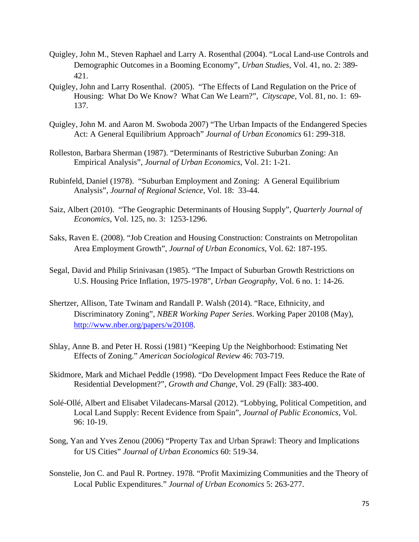- Quigley, John M., Steven Raphael and Larry A. Rosenthal (2004). "Local Land-use Controls and Demographic Outcomes in a Booming Economy", *Urban Studies*, Vol. 41, no. 2: 389- 421.
- Quigley, John and Larry Rosenthal. (2005). "The Effects of Land Regulation on the Price of Housing: What Do We Know? What Can We Learn?", *Cityscape*, Vol. 81, no. 1: 69- 137.
- Quigley, John M. and Aaron M. Swoboda 2007) "The Urban Impacts of the Endangered Species Act: A General Equilibrium Approach" *Journal of Urban Economics* 61: 299-318.
- Rolleston, Barbara Sherman (1987). "Determinants of Restrictive Suburban Zoning: An Empirical Analysis", *Journal of Urban Economics*, Vol. 21: 1-21.
- Rubinfeld, Daniel (1978). "Suburban Employment and Zoning: A General Equilibrium Analysis", *Journal of Regional Science*, Vol. 18: 33-44.
- Saiz, Albert (2010). "The Geographic Determinants of Housing Supply", *Quarterly Journal of Economics*, Vol. 125, no. 3: 1253-1296.
- Saks, Raven E. (2008). "Job Creation and Housing Construction: Constraints on Metropolitan Area Employment Growth", *Journal of Urban Economics*, Vol. 62: 187-195.
- Segal, David and Philip Srinivasan (1985). "The Impact of Suburban Growth Restrictions on U.S. Housing Price Inflation, 1975-1978", *Urban Geography*, Vol. 6 no. 1: 14-26.
- Shertzer, Allison, Tate Twinam and Randall P. Walsh (2014). "Race, Ethnicity, and Discriminatory Zoning", *NBER Working Paper Series*. Working Paper 20108 (May), http://www.nber.org/papers/w20108.
- Shlay, Anne B. and Peter H. Rossi (1981) "Keeping Up the Neighborhood: Estimating Net Effects of Zoning." *American Sociological Review* 46: 703-719.
- Skidmore, Mark and Michael Peddle (1998). "Do Development Impact Fees Reduce the Rate of Residential Development?", *Growth and Change*, Vol. 29 (Fall): 383-400.
- Solé-Ollé, Albert and Elisabet Viladecans-Marsal (2012). "Lobbying, Political Competition, and Local Land Supply: Recent Evidence from Spain", *Journal of Public Economics*, Vol. 96: 10-19.
- Song, Yan and Yves Zenou (2006) "Property Tax and Urban Sprawl: Theory and Implications for US Cities" *Journal of Urban Economics* 60: 519-34.
- Sonstelie, Jon C. and Paul R. Portney. 1978. "Profit Maximizing Communities and the Theory of Local Public Expenditures." *Journal of Urban Economics* 5: 263-277.